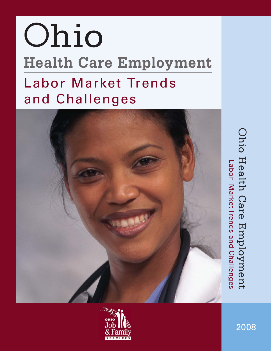# hio **Health Care Employment** Labor Market Trends and Challenges



Ohio Health Care hio Health Care Employment Labor MarketTrends and Challenges Labor Market Trends and Challenges Employment

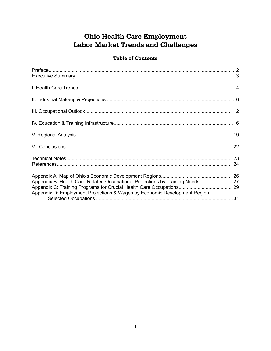## **Ohio Health Care Employment Labor Market Trends and Challenges**

#### **Table of Contents**

| Appendix B: Health Care-Related Occupational Projections by Training Needs  27<br>Appendix D: Employment Projections & Wages by Economic Development Region, |  |
|--------------------------------------------------------------------------------------------------------------------------------------------------------------|--|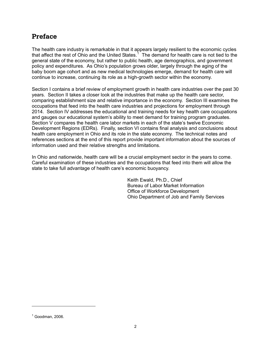## **Preface**

The health care industry is remarkable in that it appears largely resilient to the economic cycles that affect the rest of Ohio and the United States.<sup>1</sup> The demand for health care is not tied to the general state of the economy, but rather to public health, age demographics, and government policy and expenditures. As Ohio's population grows older, largely through the aging of the baby boom age cohort and as new medical technologies emerge, demand for health care will continue to increase, continuing its role as a high-growth sector within the economy.

Section I contains a brief review of employment growth in health care industries over the past 30 years. Section II takes a closer look at the industries that make up the health care sector, comparing establishment size and relative importance in the economy. Section III examines the occupations that feed into the health care industries and projections for employment through 2014. Section IV addresses the educational and training needs for key health care occupations and gauges our educational system's ability to meet demand for training program graduates. Section V compares the health care labor markets in each of the state's twelve Economic Development Regions (EDRs). Finally, section VI contains final analysis and conclusions about health care employment in Ohio and its role in the state economy. The technical notes and references sections at the end of this report provide important information about the sources of information used and their relative strengths and limitations.

In Ohio and nationwide, health care will be a crucial employment sector in the years to come. Careful examination of these industries and the occupations that feed into them will allow the state to take full advantage of health care's economic buoyancy.

> Keith Ewald, Ph.D., Chief Bureau of Labor Market Information Office of Workforce Development Ohio Department of Job and Family Services

 $<sup>1</sup>$  Goodman, 2006.</sup>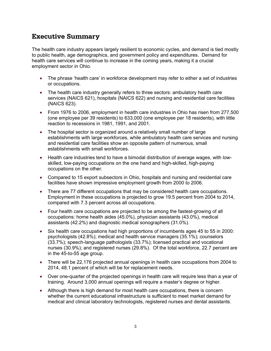## **Executive Summary**

The health care industry appears largely resilient to economic cycles, and demand is tied mostly to public health, age demographics, and government policy and expenditures. Demand for health care services will continue to increase in the coming years, making it a crucial employment sector in Ohio.

- The phrase 'health care' in workforce development may refer to either a set of industries or occupations.
- The health care industry generally refers to three sectors: ambulatory health care services (NAICS 621), hospitals (NAICS 622) and nursing and residential care facilities (NAICS 623).
- From 1976 to 2006, employment in health care industries in Ohio has risen from 277,500 (one employee per 39 residents) to 633,000 (one employee per 18 residents), with little reaction to recessions in 1981, 1991, and 2001.
- The hospital sector is organized around a relatively small number of large establishments with large workforces, while ambulatory health care services and nursing and residential care facilities show an opposite pattern of numerous, small establishments with small workforces.
- Health care industries tend to have a bimodal distribution of average wages, with lowskilled, low-paying occupations on the one hand and high-skilled, high-paying occupations on the other.
- Compared to 15 export subsectors in Ohio, hospitals and nursing and residential care facilities have shown impressive employment growth from 2000 to 2006.
- There are 77 different occupations that may be considered health care occupations. Employment in these occupations is projected to grow 19.5 percent from 2004 to 2014, compared with 7.3 percent across all occupations.
- Four health care occupations are projected to be among the fastest-growing of all occupations: home health aides (45.0%), physician assistants (43.0%), medical assistants (42.2%) and diagnostic medical sonographers (31.0%).
- Six health care occupations had high proportions of incumbents ages 45 to 55 in 2000: psychologists (42.8%); medical and health service managers (35.1%); counselors (33.7%); speech-language pathologists (33.7%); licensed practical and vocational nurses (30.9%); and registered nurses (29.8%). Of the total workforce, 22.7 percent are in the 45-to-55 age group.
- There will be 22,176 projected annual openings in health care occupations from 2004 to 2014, 48.1 percent of which will be for replacement needs.
- Over one-quarter of the projected openings in health care will require less than a year of training. Around 3,000 annual openings will require a master's degree or higher.
- Although there is high demand for most health care occupations, there is concern whether the current educational infrastructure is sufficient to meet market demand for medical and clinical laboratory technologists, registered nurses and dental assistants.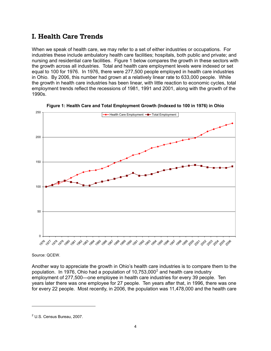## **I. Health Care Trends**

When we speak of health care, we may refer to a set of either industries or occupations. For industries these include ambulatory health care facilities; hospitals, both public and private; and nursing and residential care facilities. Figure 1 below compares the growth in these sectors with the growth across all industries. Total and health care employment levels were indexed or set equal to 100 for 1976. In 1976, there were 277,500 people employed in health care industries in Ohio. By 2006, this number had grown at a relatively linear rate to 633,000 people. While the growth in health care industries has been linear, with little reaction to economic cycles, total employment trends reflect the recessions of 1981, 1991 and 2001, along with the growth of the 1990s.



**Figure 1: Health Care and Total Employment Growth (Indexed to 100 in 1976) in Ohio** 

Source: QCEW.

-

Another way to appreciate the growth in Ohio's health care industries is to compare them to the population. In 1976, Ohio had a population of 10,753,000<sup>2</sup> and health care industry employment of 277,500—one employee in health care industries for every 39 people. Ten years later there was one employee for 27 people. Ten years after that, in 1996, there was one for every 22 people. Most recently, in 2006, the population was 11,478,000 and the health care

 $<sup>2</sup>$  U.S. Census Bureau, 2007.</sup>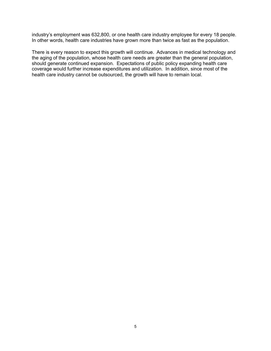industry's employment was 632,800, or one health care industry employee for every 18 people. In other words, health care industries have grown more than twice as fast as the population.

There is every reason to expect this growth will continue. Advances in medical technology and the aging of the population, whose health care needs are greater than the general population, should generate continued expansion. Expectations of public policy expanding health care coverage would further increase expenditures and utilization. In addition, since most of the health care industry cannot be outsourced, the growth will have to remain local.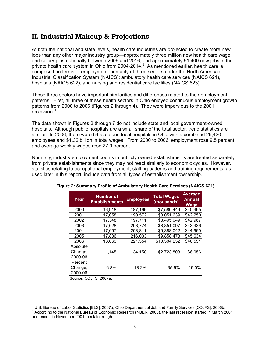## **II. Industrial Makeup & Projections**

At both the national and state levels, health care industries are projected to create more new jobs than any other major industry group—approximately three million new health care wage and salary jobs nationally between 2006 and 2016, and approximately 91,400 new jobs in the private health care system in Ohio from 2004-2014. $3$  As mentioned earlier, health care is composed, in terms of employment, primarily of three sectors under the North American Industrial Classification System (NAICS): ambulatory health care services (NAICS 621), hospitals (NAICS 622), and nursing and residential care facilities (NAICS 623).

These three sectors have important similarities and differences related to their employment patterns. First, all three of these health sectors in Ohio enjoyed continuous employment growth patterns from 2000 to 2006 (Figures 2 through 4). They were impervious to the 2001 recession.<sup>4</sup>

The data shown in Figures 2 through 7 do not include state and local government-owned hospitals. Although public hospitals are a small share of the total sector, trend statistics are similar. In 2006, there were 54 state and local hospitals in Ohio with a combined 29,430 employees and \$1.32 billion in total wages. From 2000 to 2006, employment rose 9.5 percent and average weekly wages rose 27.9 percent.

Normally, industry employment counts in publicly owned establishments are treated separately from private establishments since they may not react similarly to economic cycles. However, statistics relating to occupational employment, staffing patterns and training requirements, as used later in this report, include data from all types of establishment ownership.

| Year                           | <b>Number of</b><br><b>Establishments</b> | <b>Employees</b> | <b>Total Wages</b><br>(thousands) | <b>Average</b><br><b>Annual</b><br><b>Wage</b> |
|--------------------------------|-------------------------------------------|------------------|-----------------------------------|------------------------------------------------|
| 2000                           | 16,918                                    | 187,196          | \$7,580,449                       | \$40,495                                       |
| 2001                           | 17.058                                    | 190.572          | \$8.051.639                       | \$42.250                                       |
| 2002                           | 17.348                                    | 197,711          | \$8.495.049                       | \$42,967                                       |
| 2003                           | 17,628                                    | 203,774          | \$8,851,097                       | \$43,436                                       |
| 2004                           | 17,657                                    | 208,811          | \$9,388,042                       | \$44,960                                       |
| 2005                           | 17.836                                    | 216,033          | \$9.858.473                       | \$45.634                                       |
| 2006                           | 18,063                                    | 221,354          | \$10,304,252                      | \$46,551                                       |
| Absolute<br>Change,<br>2000-06 | 1,145                                     | 34,158           | \$2.723.803                       | \$6,056                                        |
| Percent<br>Change,<br>2000-06  | 6.8%                                      | 18.2%            | 35.9%                             | 15.0%                                          |

#### **Figure 2: Summary Profile of Ambulatory Health Care Services (NAICS 621)**

Source: ODJFS, 2007a.

<sup>&</sup>lt;sup>3</sup> U.S. Bureau of Labor Statistics [BLS], 2007a; Ohio Department of Job and Family Services [ODJFS], 2006b.<br><sup>4</sup> According to the National Bureau of Economic Besearch (NBEB, 2003), the last reseasien started in March 2 <sup>4</sup> According to the National Bureau of Economic Research (NBER, 2003), the last recession started in March 2001 and ended in November 2001, peak to trough.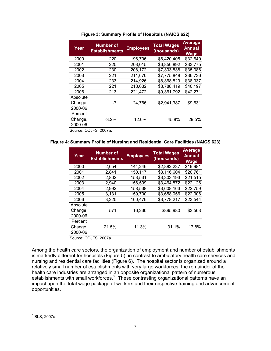| Year     | <b>Number of</b><br><b>Establishments</b> | <b>Employees</b> | <b>Total Wages</b><br>(thousands) | <b>Average</b><br><b>Annual</b><br><b>Wage</b> |
|----------|-------------------------------------------|------------------|-----------------------------------|------------------------------------------------|
| 2000     | 220                                       | 196,706          | \$6,420,405                       | \$32,640                                       |
| 2001     | 225                                       | 203,015          | \$6,856,892                       | \$33,775                                       |
| 2002     | 230                                       | 208,172          | \$7,303,838                       | \$35,086                                       |
| 2003     | 221                                       | 211,670          | \$7,775,848                       | \$36,736                                       |
| 2004     | 233                                       | 214,926          | \$8,368,529                       | \$38,937                                       |
| 2005     | 221                                       | 218,632          | \$8,788,419                       | \$40,197                                       |
| 2006     | 213                                       | 221,472          | \$9,361,792                       | \$42,271                                       |
| Absolute |                                           |                  |                                   |                                                |
| Change,  | $-7$                                      | 24,766           | \$2,941,387                       | \$9,631                                        |
| 2000-06  |                                           |                  |                                   |                                                |
| Percent  |                                           |                  |                                   |                                                |
| Change,  | $-3.2\%$                                  | 12.6%            | 45.8%                             | 29.5%                                          |
| 2000-06  |                                           |                  |                                   |                                                |
|          | Source: OD IES 20072                      |                  |                                   |                                                |

**Figure 3: Summary Profile of Hospitals (NAICS 622)** 

Source: ODJFS, 2007a.

| Figure 4: Summary Profile of Nursing and Residential Care Facilities (NAICS 623) |  |  |  |  |  |
|----------------------------------------------------------------------------------|--|--|--|--|--|
|----------------------------------------------------------------------------------|--|--|--|--|--|

| Year                           | <b>Number of</b><br><b>Establishments</b> | <b>Employees</b> | <b>Total Wages</b><br>(thousands) | <b>Average</b><br><b>Annual</b><br>Wage |
|--------------------------------|-------------------------------------------|------------------|-----------------------------------|-----------------------------------------|
| 2000                           | 2,654                                     | 144,246          | \$2,882,237                       | \$19,981                                |
| 2001                           | 2,841                                     | 150,117          | \$3,116,604                       | \$20,761                                |
| 2002                           | 2,862                                     | 153,531          | \$3,303,193                       | \$21,515                                |
| 2003                           | 2,940                                     | 156,599          | \$3,464,872                       | \$22,126                                |
| 2004                           | 2,992                                     | 158,538          | \$3,608,163                       | \$22,759                                |
| 2005                           | 3,131                                     | 159.700          | \$3.658.056                       | \$22,906                                |
| 2006                           | 3,225                                     | 160,476          | \$3,778,217                       | \$23,544                                |
| Absolute<br>Change,<br>2000-06 | 571                                       | 16,230           | \$895,980                         | \$3,563                                 |
| Percent<br>Change,<br>2000-06  | 21.5%                                     | 11.3%            | 31.1%                             | 17.8%                                   |

Source: ODJFS, 2007a.

Among the health care sectors, the organization of employment and number of establishments is markedly different for hospitals (Figure 5), in contrast to ambulatory health care services and nursing and residential care facilities (Figure 6). The hospital sector is organized around a relatively small number of establishments with very large workforces; the remainder of the health care industries are arranged in an opposite organizational pattern of numerous establishments with small workforces.<sup>5</sup> These contrasting organizational patterns have an impact upon the total wage package of workers and their respective training and advancement opportunities.

 $<sup>5</sup>$  BLS, 2007a.</sup>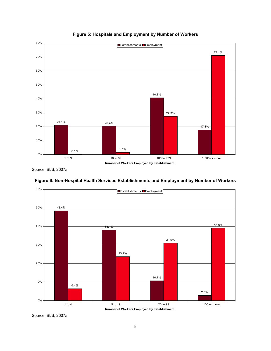

#### **Figure 5: Hospitals and Employment by Number of Workers**

Source: BLS, 2007a.



**Figure 6: Non-Hospital Health Services Establishments and Employment by Number of Workers** 

Source: BLS, 2007a.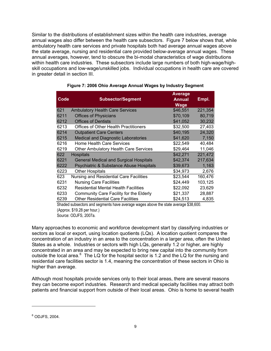Similar to the distributions of establishment sizes within the health care industries, average annual wages also differ between the health care subsectors. Figure 7 below shows that, while ambulatory health care services and private hospitals both had average annual wages above the state average, nursing and residential care provided below-average annual wages. These annual averages, however, tend to obscure the bi-modal characteristics of wage distributions within health care industries. These subsectors include large numbers of both high-wage/highskill occupations and low-wage/unskilled jobs. Individual occupations in health care are covered in greater detail in section III.

| Code | <b>Subsector/Segment</b>                                                                                                          | Average<br><b>Annual</b><br><b>Wage</b> | Empl.   |
|------|-----------------------------------------------------------------------------------------------------------------------------------|-----------------------------------------|---------|
| 621  | <b>Ambulatory Health Care Services</b>                                                                                            | \$46,551                                | 221,354 |
| 6211 | <b>Offices of Physicians</b>                                                                                                      | \$70,109                                | 80,719  |
| 6212 | <b>Offices of Dentists</b>                                                                                                        | \$41,052                                | 30,232  |
| 6213 | <b>Offices of Other Health Practitioners</b>                                                                                      | \$32,500                                | 27,403  |
| 6214 | <b>Outpatient Care Centers</b>                                                                                                    | \$40,195                                | 24,320  |
| 6215 | <b>Medical and Diagnostic Laboratories</b>                                                                                        | \$41,620                                | 7,150   |
| 6216 | Home Health Care Services                                                                                                         | \$22,549                                | 40,484  |
| 6219 | <b>Other Ambulatory Health Care Services</b>                                                                                      | \$29,464                                | 11,046  |
| 622  | Hospitals                                                                                                                         | \$42,271                                | 221,472 |
| 6221 | <b>General Medical and Surgical Hospitals</b>                                                                                     | \$42,374                                | 217,634 |
| 6222 | <b>Psychiatric &amp; Substance Abuse Hospitals</b>                                                                                | \$39,673                                | 1,163   |
| 6223 | <b>Other Hospitals</b>                                                                                                            | \$34,973                                | 2,676   |
| 623  | Nursing and Residential Care Facilities                                                                                           | \$23,544                                | 160,476 |
| 6231 | <b>Nursing Care Facilities</b>                                                                                                    | \$24,449                                | 103,125 |
| 6232 | <b>Residential Mental Health Facilities</b>                                                                                       | \$22,092                                | 23,629  |
| 6233 | Community Care Facility for the Elderly                                                                                           | \$21,337                                | 28,887  |
| 6239 | <b>Other Residential Care Facilities</b><br>Objectively colored the construction of the contract of construction of the state and | \$24,513                                | 4,835   |

|  | Figure 7: 2006 Ohio Average Annual Wages by Industry Segment |  |  |  |
|--|--------------------------------------------------------------|--|--|--|
|  |                                                              |  |  |  |

Shaded subsectors and segments have average wages above the state average \$38,600. (Approx. \$19.28 per hour.)

Source: ODJFS, 2007a.

Many approaches to economic and workforce development start by classifying industries or sectors as local or export, using location quotients (LQs). A location quotient compares the concentration of an industry in an area to the concentration in a larger area, often the United States as a whole. Industries or sectors with high LQs, generally 1.2 or higher, are highly concentrated in an area and may be expected to bring new capital into the community from outside the local area. $^6$  The LQ for the hospital sector is 1.2 and the LQ for the nursing and residential care facilities sector is 1.4, meaning the concentration of these sectors in Ohio is higher than average.

Although most hospitals provide services only to their local areas, there are several reasons they can become export industries. Research and medical specialty facilities may attract both patients and financial support from outside of their local areas. Ohio is home to several health

-

 $^6$  ODJFS, 2004.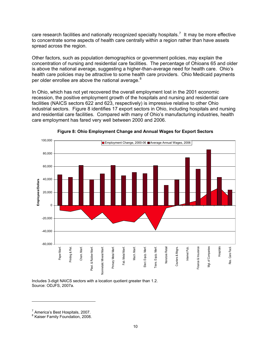care research facilities and nationally recognized specialty hospitals.<sup>7</sup> It may be more effective to concentrate some aspects of health care centrally within a region rather than have assets spread across the region.

Other factors, such as population demographics or government policies, may explain the concentration of nursing and residential care facilities. The percentage of Ohioans 65 and older is above the national average, suggesting a higher-than-average need for health care. Ohio's health care policies may be attractive to some health care providers. Ohio Medicaid payments per older enrollee are above the national average. $8$ 

In Ohio, which has not yet recovered the overall employment lost in the 2001 economic recession, the positive employment growth of the hospitals and nursing and residential care facilities (NAICS sectors 622 and 623, respectively) is impressive relative to other Ohio industrial sectors. Figure 8 identifies 17 export sectors in Ohio, including hospitals and nursing and residential care facilities. Compared with many of Ohio's manufacturing industries, health care employment has fared very well between 2000 and 2006.





Includes 3-digit NAICS sectors with a location quotient greater than 1.2. Source: ODJFS, 2007a.

<sup>&</sup>lt;sup>7</sup> America's Best Hospitals, 2007.

<sup>&</sup>lt;sup>8</sup> Kaiser Family Foundation, 2008.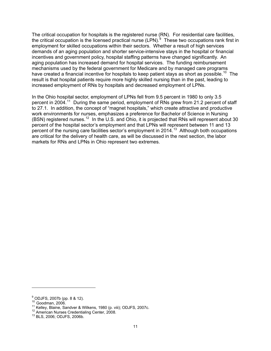The critical occupation for hospitals is the registered nurse (RN). For residential care facilities, the critical occupation is the licensed practical nurse (LPN).<sup>9</sup> These two occupations rank first in employment for skilled occupations within their sectors. Whether a result of high services demands of an aging population and shorter service-intensive stays in the hospital or financial incentives and government policy, hospital staffing patterns have changed significantly. An aging population has increased demand for hospital services. The funding reimbursement mechanisms used by the federal government for Medicare and by managed care programs have created a financial incentive for hospitals to keep patient stays as short as possible.<sup>10</sup> The result is that hospital patients require more highly skilled nursing than in the past, leading to increased employment of RNs by hospitals and decreased employment of LPNs.

In the Ohio hospital sector, employment of LPNs fell from 9.5 percent in 1980 to only 3.5 percent in 2004.<sup>11</sup> During the same period, employment of RNs grew from 21.2 percent of staff to 27.1. In addition, the concept of "magnet hospitals," which create attractive and productive work environments for nurses, emphasizes a preference for Bachelor of Science in Nursing (BSN) registered nurses.<sup>12</sup> In the U.S. and Ohio, it is projected that RNs will represent about 30 percent of the hospital sector's employment and that LPNs will represent between 11 and 13 percent of the nursing care facilities sector's employment in 2014.<sup>13</sup> Although both occupations are critical for the delivery of health care, as will be discussed in the next section, the labor markets for RNs and LPNs in Ohio represent two extremes.

-

<sup>9</sup> ODJFS, 2007b (pp. 8 & 12).

<sup>10</sup> Goodman, 2006.<br><sup>11</sup> Kelley, Blaine, Sandver & Wilkens, 1980 (p. viii); ODJFS, 2007c.<br><sup>12</sup> American Nurses Credentialing Center, 2008.<br><sup>13</sup> BLS, 2006; ODJFS, 2006b.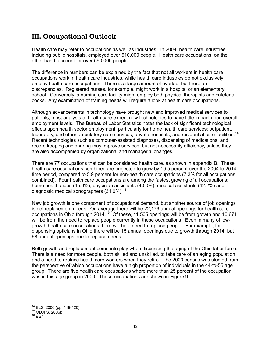## **III. Occupational Outlook**

Health care may refer to occupations as well as industries. In 2004, health care industries, including public hospitals, employed over 610,000 people. Health care occupations, on the other hand, account for over 590,000 people.

The difference in numbers can be explained by the fact that not all workers in health care occupations work in health care industries, while health care industries do not exclusively employ health care occupations. There is a large amount of overlap, but there are discrepancies. Registered nurses, for example, might work in a hospital or an elementary school. Conversely, a nursing care facility might employ both physical therapists and cafeteria cooks. Any examination of training needs will require a look at health care occupations.

Although advancements in technology have brought new and improved medical services to patients, most analysts of health care expect new technologies to have little impact upon overall employment levels. The Bureau of Labor Statistics notes the lack of significant technological effects upon health sector employment, particularly for home health care services; outpatient, laboratory, and other ambulatory care services; private hospitals; and residential care facilities.<sup>14</sup> Recent technologies such as computer-assisted diagnoses, dispensing of medications, and record keeping and sharing may improve services, but not necessarily efficiency, unless they are also accompanied by organizational and managerial changes.

There are 77 occupations that can be considered health care, as shown in appendix B. These health care occupations combined are projected to grow by 19.5 percent over the 2004 to 2014 time period, compared to 5.9 percent for non-health care occupations (7.3% for all occupations combined). Four health care occupations are among the fastest growing of all occupations: home health aides (45.0%), physician assistants (43.0%), medical assistants (42.2%) and diagnostic medical sonographers  $(31.0\%)$ .<sup>15</sup>

New job growth is one component of occupational demand, but another source of job openings is net replacement needs. On average there will be 22,176 annual openings for health care occupations in Ohio through 2014.16 Of these, 11,505 openings will be from growth and 10,671 will be from the need to replace people currently in these occupations. Even in many of lowgrowth health care occupations there will be a need to replace people. For example, for dispensing opticians in Ohio there will be 15 annual openings due to growth through 2014, but 68 annual openings due to replace needs.

Both growth and replacement come into play when discussing the aging of the Ohio labor force. There is a need for more people, both skilled and unskilled, to take care of an aging population and a need to replace health care workers when they retire. The 2000 census was studied from the perspective of which occupations have a high proportion of individuals in the 44-to-55 age group. There are five health care occupations where more than 25 percent of the occupation was in this age group in 2000. These occupations are shown in Figure 9.

<sup>14</sup> BLS, 2006 (pp. 119-120). 15 ODJFS, 2006b. 16 *Ibid*.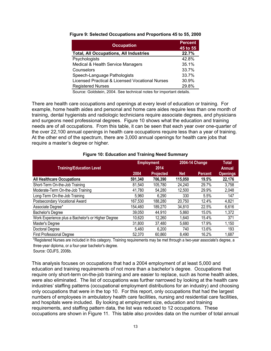| <b>Occupation</b>                               | <b>Percent</b> |
|-------------------------------------------------|----------------|
|                                                 | 45 to 55       |
| <b>Total, All Occupations, All Industries</b>   | 22.7%          |
| Psychologists                                   | 42.8%          |
| Medical & Health Service Managers               | 35.1%          |
| Counselors                                      | 33.7%          |
| Speech-Language Pathologists                    | 33.7%          |
| Licensed Practical & Licensed Vocational Nurses | 30.9%          |
| <b>Registered Nurses</b>                        | 29.8%          |

#### **Figure 9: Selected Occupations and Proportions 45 to 55, 2000**

Source: Goldstein, 2004. See technical notes for important details.

There are health care occupations and openings at every level of education or training. For example, home health aides and personal and home care aides require less than one month of training, dental hygienists and radiologic technicians require associate degrees, and physicians and surgeons need professional degrees. Figure 10 shows what the education and training needs are of all occupations. From this table, it can be seen that each year over one-quarter of the over 22,100 annual openings in health care occupations require less than a year of training. At the other end of the spectrum, there are 3,000 annual openings for health care jobs that require a master's degree or higher.

| <b>Training/Education Level</b>                    | <b>Employment</b><br>2014 |                  | 2004-14 Change |                | <b>Total</b><br><b>Annual</b> |
|----------------------------------------------------|---------------------------|------------------|----------------|----------------|-------------------------------|
|                                                    | 2004                      | <b>Projected</b> | <b>Net</b>     | <b>Percent</b> | <b>Openings</b>               |
| <b>All Healthcare Occupations</b>                  | 591,340                   | 706,390          | 115,050        | 19.5%          | 22,176                        |
| Short-Term On-the-Job Training                     | 81,540                    | 105,780          | 24,240         | 29.7%          | 3,758                         |
| Moderate-Term On-the-Job Training                  | 41,780                    | 54,280           | 12,500         | 29.9%          | 2,048                         |
| Long-Term On-the-Job Training                      | 5,960                     | 6,290            | 330            | 5.5%           | 147                           |
| Postsecondary Vocational Award                     | 167,530                   | 188,280          | 20,750         | 12.4%          | 4,821                         |
| Associate Degree*                                  | 154,460                   | 189,270          | 34,810         | 22.5%          | 6,616                         |
| Bachelor's Degree                                  | 39,050                    | 44,910           | 5,860          | 15.0%          | 1,372                         |
| Work Experience plus a Bachelor's or Higher Degree | 10,620                    | 12,260           | 1,640          | 15.4%          | 371                           |
| Master's Degree                                    | 31,800                    | 37,480           | 5,680          | 17.9%          | 1,150                         |
| Doctoral Degree                                    | 5,460                     | 6,200            | 740            | 13.6%          | 193                           |
| <b>First Professional Degree</b>                   | 52,370                    | 60,860           | 8,490          | 16.2%          | 1,687                         |

#### **Figure 10: Education and Training Need Summary**

\*Registered Nurses are included in this category. Training requirements may be met through a two-year associate's degree, a three-year diploma, or a four-year bachelor's degree.

Source: ODJFS, 2006b.

This analysis focuses on occupations that had a 2004 employment of at least 5,000 and education and training requirements of not more than a bachelor's degree. Occupations that require only short-term on-the-job training and are easier to replace, such as home health aides, were also eliminated. The list of occupations was further narrowed by looking at the health care industries' staffing patterns (occupational employment distributions for an industry) and choosing only occupations that were in the top 10. For this report, only occupations that had the largest numbers of employees in ambulatory health care facilities, nursing and residential care facilities, and hospitals were included. By looking at employment size, education and training requirements, and staffing pattern data, the list was reduced to 12 occupations. These occupations are shown in Figure 11. This table also provides data on the number of total annual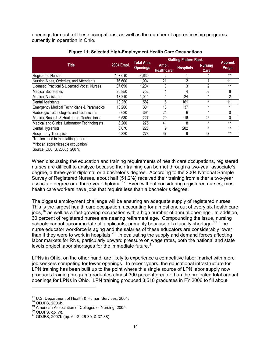openings for each of these occupations, as well as the number of apprenticeship programs currently in operation in Ohio.

|                                                       |            | <b>Total Ann.</b> | <b>Staffing Pattern Rank</b> |                  |                        |                    |
|-------------------------------------------------------|------------|-------------------|------------------------------|------------------|------------------------|--------------------|
| <b>Title</b>                                          | 2004 Empl. | <b>Openings</b>   | Ambl.<br><b>Healthcare</b>   | <b>Hospitals</b> | <b>Nursing</b><br>Care | Apprent.<br>Progs. |
| <b>Registered Nurses</b>                              | 107,010    | 4.630             | 2                            |                  | 4                      | $**$               |
| Nursing Aides, Orderlies, and Attendants              | 76.600     | 1,994             | 21                           | 2                |                        | 11                 |
| Licensed Practical & Licensed Vocat. Nurses           | 37.690     | 1.204             | 8                            | 3                | 2                      | $**$               |
| <b>Medical Secretaries</b>                            | 26,850     | 752               |                              | 4                | 52                     | 6                  |
| <b>Medical Assistants</b>                             | 17,210     | 1.044             | 4                            | 24               | $\star$                | 2                  |
| <b>Dental Assistants</b>                              | 10,250     | 582               | 5                            | 161              | $\star$                | 11                 |
| <b>Emergency Medical Technicians &amp; Paramedics</b> | 10.200     | 301               | 10                           | 37               | $\star$                |                    |
| Radiologic Technologists and Technicians              | 9.620      | 394               | 24                           | 6                | $\star$                | 0                  |
| Medical Records & Health Info. Technicians            | 6,530      | 227               | 29                           | 16               | 26                     | 0                  |
| Medical and Clinical Laboratory Technologists         | 6.200      | 275               | 41                           | 8                | $\star$                | $**$               |
| Dental Hygienists                                     | 6,070      | 226               | 9                            | 202              | $\star$                | $**$               |
| <b>Respiratory Therapists</b>                         | 5.320      | 278               | 67                           | 9                | 67                     | $**$               |

**Figure 11: Selected High-Employment Health Care Occupations** 

\*Not included in the staffing pattern

\*\*Not an apprenticeable occupation

Source: ODJFS, 2006b; 2007c.

When discussing the education and training requirements of health care occupations, registered nurses are difficult to analyze because their training can be met through a two-year associate's degree, a three-year diploma, or a bachelor's degree. According to the 2004 National Sample Survey of Registered Nurses, about half (51.2%) received their training from either a two-year associate degree or a three-year diploma.<sup>17</sup> Even without considering registered nurses, most health care workers have jobs that require less than a bachelor's degree.

The biggest employment challenge will be ensuring an adequate supply of registered nurses. This is the largest health care occupation, accounting for almost one out of every six health care jobs,<sup>18</sup> as well as a fast-growing occupation with a high number of annual openings. In addition, 30 percent of registered nurses are nearing retirement age. Compounding the issue, nursing schools cannot accommodate all applicants, primarily because of a faculty shortage.<sup>19</sup> The nurse educator workforce is aging and the salaries of these educators are considerably lower than if they were to work in hospitals.<sup>20</sup> In evaluating the supply and demand forces affecting labor markets for RNs, particularly upward pressure on wage rates, both the national and state levels project labor shortages for the immediate future. $21$ 

LPNs in Ohio, on the other hand, are likely to experience a competitive labor market with more job seekers competing for fewer openings. In recent years, the educational infrastructure for LPN training has been built up to the point where this single source of LPN labor supply now produces training program graduates almost 300 percent greater than the projected total annual openings for LPNs in Ohio. LPN training produced 3,510 graduates in FY 2006 to fill about

<sup>&</sup>lt;sup>17</sup> U.S. Department of Health & Human Services, 2004.<br><sup>18</sup> ODJFS, 2006b.<br><sup>19</sup> American Association of Colleges of Nursing, 2005.<br><sup>20</sup> ODJFS, *op. cit.*<br><sup>21</sup> ODJFS, 2007b (pp. 6-12, 26-30, & 37-38).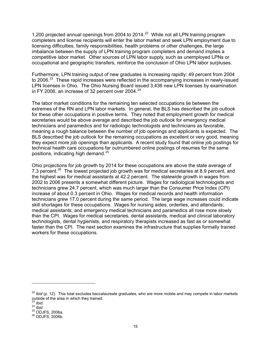1,200 projected annual openings from 2004 to 2014.<sup>22</sup> While not all LPN training program completers and license recipients will enter the labor market and seek LPN employment due to licensing difficulties, family responsibilities, health problems or other challenges, the large imbalance between the supply of LPN training program completers and demand implies a competitive labor market. Other sources of LPN labor supply, such as unemployed LPNs or occupational and geographic transfers, reinforce the conclusion of Ohio LPN labor surpluses.

Furthermore, LPN training output of new graduates is increasing rapidly: 49 percent from 2004 to 2006.<sup>23</sup> These rapid increases were reflected in the accompanying increases in newly-issued LPN licenses in Ohio. The Ohio Nursing Board issued 3,436 new LPN licenses by examination in FY 2006, an increase of 32 percent over  $2004.<sup>24</sup>$ 

The labor market conditions for the remaining ten selected occupations lie between the extremes of the RN and LPN labor markets. In general, the BLS has described the job outlook for these other occupations in positive terms. They noted that employment growth for medical secretaries would be above average and described the job outlook for emergency medical technicians and paramedics and for radiologic technologists and technicians as favorable, meaning a rough balance between the number of job openings and applicants is expected. The BLS described the job outlook for the remaining occupations as excellent or very good, meaning they expect more job openings than applicants. A recent study found that online job postings for technical health care occupations far outnumbered online postings of resumes for the same positions, indicating high demand.<sup>25</sup>

Ohio projections for job growth by 2014 for these occupations are above the state average of 7.3 percent.<sup>26</sup> The lowest projected job growth was for medical secretaries at 8.9 percent, and the highest was for medical assistants at 42.2 percent. The statewide growth in wages from 2002 to 2006 presents a somewhat different picture. Wages for radiological technologists and technicians grew 24.7 percent, which was much larger than the Consumer Price Index (CPI) increase of about 0.3 percent in Ohio. Wages for medical records and health information technicians grew 17.0 percent during the same period. The large wage increases could indicate skill shortages for these occupations. Wages for nursing aides, orderlies, and attendants; medical assistants; and emergency medical technicians and paramedics all rose more slowly than the CPI. Wages for medical secretaries, dental assistants, medical and clinical laboratory technologists, dental hygienists, and respiratory therapists increased as fast as or somewhat faster than the CPI. The next section examines the infrastructure that supplies formally trained workers for these occupations.

<sup>22</sup> *Ibid* (p. 12). This total excludes baccalaureate graduates, who are more mobile and may compete in labor markets outside of the area in which they trained.<br><sup>23</sup> Ibid.

<sup>23</sup> *Ibid*. 24 *Ibid.* 25 ODJFS, 2006a. 26 ODJFS, 2006b.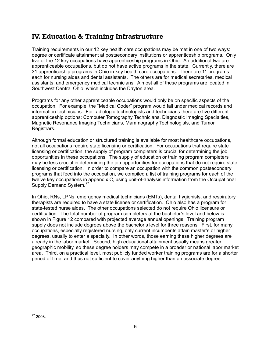## **IV. Education & Training Infrastructure**

Training requirements in our 12 key health care occupations may be met in one of two ways: degree or certificate attainment at postsecondary institutions or apprenticeship programs. Only five of the 12 key occupations have apprenticeship programs in Ohio. An additional two are apprenticeable occupations, but do not have active programs in the state. Currently, there are 31 apprenticeship programs in Ohio in key health care occupations. There are 11 programs each for nursing aides and dental assistants. The others are for medical secretaries, medical assistants, and emergency medical technicians. Almost all of these programs are located in Southwest Central Ohio, which includes the Dayton area.

Programs for any other apprenticeable occupations would only be on specific aspects of the occupation. For example, the "Medical Coder" program would fall under medical records and information technicians. For radiologic technologists and technicians there are five different apprenticeship options: Computer Tomography Technicians, Diagnostic Imaging Specialties, Magnetic Resonance Imaging Technicians, Mammography Technologists, and Tumor Registrars.

Although formal education or structured training is available for most healthcare occupations, not all occupations require state licensing or certification. For occupations that require state licensing or certification, the supply of program completers is crucial for determining the job opportunities in these occupations. The supply of education or training program completers may be less crucial in determining the job opportunities for occupations that do not require state licensing or certification. In order to compare an occupation with the common postsecondary programs that feed into the occupation, we compiled a list of training programs for each of the twelve key occupations in appendix C, using unit-of-analysis information from the Occupational Supply Demand System.<sup>27</sup>

In Ohio, RNs, LPNs, emergency medical technicians (EMTs), dental hygienists, and respiratory therapists are required to have a state license or certification. Ohio also has a program for state-tested nurse aides. The other occupations selected do not require Ohio licensure or certification. The total number of program completers at the bachelor's level and below is shown in Figure 12 compared with projected average annual openings. Training program supply does not include degrees above the bachelor's level for three reasons. First, for many occupations, especially registered nursing, only current incumbents attain master's or higher degrees, usually to enter a specialty. In other words, those earning these higher degrees are already in the labor market. Second, high educational attainment usually means greater geographic mobility, so these degree holders may compete in a broader or national labor market area. Third, on a practical level, most publicly funded worker training programs are for a shorter period of time, and thus not sufficient to cover anything higher than an associate degree.

 $27,2008$ .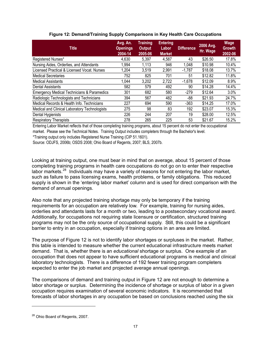| <b>Title</b>                                          | Avg. An.<br><b>Openings</b><br>2004-14 | <b>Training</b><br>Output<br>2005-06 | <b>Entering</b><br>Labor<br><b>Market</b> | <b>Difference</b> | 2006 Avg.<br>Hr. Wage | <b>Wage</b><br><b>Growth</b><br>2002-06 |
|-------------------------------------------------------|----------------------------------------|--------------------------------------|-------------------------------------------|-------------------|-----------------------|-----------------------------------------|
| Registered Nurses*                                    | 4,630                                  | 5,397                                | 4,587                                     | 43                | \$26.50               | 17.8%                                   |
| Nursing Aides, Orderlies, and Attendants              | 1,994                                  | 1,113                                | 946                                       | 1,048             | \$10.98               | 10.4%                                   |
| Licensed Practical & Licensed Vocat, Nurses           | 1,204                                  | 3,519                                | 2,991                                     | $-1,787$          | \$18.08               | 13.7%                                   |
| <b>Medical Secretaries</b>                            | 752                                    | 825                                  | 701                                       | 51                | \$12.82               | 11.8%                                   |
| <b>Medical Assistants</b>                             | 1,044                                  | 3,202                                | 2,722                                     | $-1,678$          | \$12.09               | 8.9%                                    |
| Dental Assistants                                     | 582                                    | 579                                  | 492                                       | 90                | \$14.28               | 14.4%                                   |
| <b>Emergency Medical Technicians &amp; Paramedics</b> | 301                                    | 682                                  | 580                                       | $-279$            | \$12.64               | 3.0%                                    |
| Radiologic Technologists and Technicians              | 394                                    | 567                                  | 482                                       | -88               | \$21.93               | 24.7%                                   |
| Medical Records & Health Info. Technicians            | 227                                    | 694                                  | 590                                       | $-363$            | \$14.25               | 17.0%                                   |
| Medical and Clinical Laboratory Technologists         | 275                                    | 98                                   | 83                                        | 192               | \$23.07               | 15.3%                                   |
| Dental Hygienists                                     | 226                                    | 244                                  | 207                                       | 19                | \$28.00               | 12.5%                                   |
| <b>Respiratory Therapists</b>                         | 278                                    | 265                                  | 225                                       | 53                | \$21.67               | 15.2%                                   |

#### **Figure 12: Demand/Training Supply Comparisons in Key Health Care Occupations**

Entering Labor Market reflects that of those completing training programs, about 15 percent do not enter the occupational market. Please see the Technical Notes. Training Output includes completers through the Bachelor's level.

\*Training output only includes Registered Nurse Training (CIP 51.1601).

Source: ODJFS, 2006b; OSDS 2008; Ohio Board of Regents, 2007; BLS, 2007b.

Looking at training output, one must bear in mind that on average, about 15 percent of those completing training programs in health care occupations do not go on to enter their respective labor markets.<sup>28</sup> Individuals may have a variety of reasons for not entering the labor market, such as failure to pass licensing exams, health problems, or family obligations. This reduced supply is shown in the 'entering labor market' column and is used for direct comparison with the demand of annual openings.

Also note that any projected training shortage may only be temporary if the training requirements for an occupation are relatively low. For example, training for nursing aides, orderlies and attendants lasts for a month or two, leading to a postsecondary vocational award. Additionally, for occupations not requiring state licensure or certification, structured training programs may not be the only source of occupational supply. Still, this could be a significant barrier to entry in an occupation, especially if training options in an area are limited.

The purpose of Figure 12 is not to identify labor shortages or surpluses in the market. Rather, this table is intended to measure whether the current educational infrastructure meets market demand. That is, whether there is an *educational* shortage or surplus. One example of an occupation that does not appear to have sufficient educational programs is medical and clinical laboratory technologists. There is a difference of 192 fewer training program completers expected to enter the job market and projected average annual openings.

The comparisons of demand and training output in Figure 12 are not enough to determine a labor shortage or surplus. Determining the incidence of shortage or surplus of labor in a given occupation requires examination of several economic indicators. It is recommended that forecasts of labor shortages in any occupation be based on conclusions reached using the six

<sup>28</sup> Ohio Board of Regents, 2007.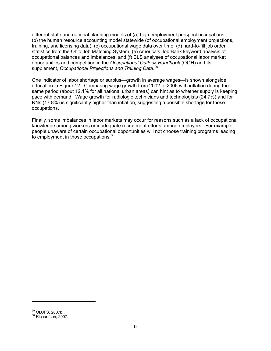different state and national planning models of (a) high employment prospect occupations, (b) the human resource accounting model statewide (of occupational employment projections, training, and licensing data), (c) occupational wage data over time, (d) hard-to-fill job order statistics from the Ohio Job Matching System, (e) America's Job Bank keyword analysis of occupational balances and imbalances, and (f) BLS analyses of occupational labor market opportunities and competition in the *Occupational Outlook Handbook* (OOH) and its supplement, *Occupational Projections and Training Data*. 29

One indicator of labor shortage or surplus—growth in average wages—is shown alongside education in Figure 12. Comparing wage growth from 2002 to 2006 with inflation during the same period (about 12.1% for all national urban areas) can hint as to whether supply is keeping pace with demand. Wage growth for radiologic technicians and technologists (24.7%) and for RNs (17.8%) is significantly higher than inflation, suggesting a possible shortage for those occupations.

Finally, some imbalances in labor markets may occur for reasons such as a lack of occupational knowledge among workers or inadequate recruitment efforts among employers. For example, people unaware of certain occupational opportunities will not choose training programs leading to employment in those occupations.<sup>30</sup>

 $^{29}$  ODJFS, 2007b.<br> $^{30}$  Richardson, 2007.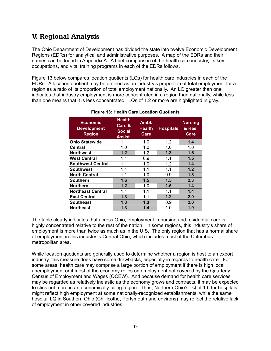## **V. Regional Analysis**

The Ohio Department of Development has divided the state into twelve Economic Development Regions (EDRs) for analytical and administrative purposes. A map of the EDRs and their names can be found in Appendix A. A brief comparison of the health care industry, its key occupations, and vital training programs in each of the EDRs follows.

Figure 13 below compares location quotients (LQs) for health care industries in each of the EDRs. A location quotient may be defined as an industry's proportion of total employment for a region as a ratio of its proportion of total employment nationally. An LQ greater than one indicates that industry employment is more concentrated in a region than nationally, while less than one means that it is less concentrated. LQs of 1.2 or more are highlighted in gray.

| <b>Economic</b><br><b>Development</b><br><b>Region</b> | <b>Health</b><br>Care &<br><b>Social</b><br>Assist. | Ambl.<br><b>Health</b><br>Care | <b>Hospitals</b> | <b>Nursing</b><br>& Res.<br><b>Care</b> |
|--------------------------------------------------------|-----------------------------------------------------|--------------------------------|------------------|-----------------------------------------|
| <b>Ohio Statewide</b>                                  | 1.1                                                 | 1.0                            | 1.2              | 1.4                                     |
| <b>Central</b>                                         | 1.0                                                 | 1.0                            | 1.0              | 1.0                                     |
| <b>Northwest</b>                                       | 1.2                                                 | 1.2                            | 1.3              | 1.6                                     |
| <b>West Central</b>                                    | 1.1                                                 | 0.9                            | 1.1              | 1.5                                     |
| <b>Southwest Central</b>                               | 1.1                                                 | 1.0                            | 1.2              | 1.4                                     |
| <b>Southwest</b>                                       | 1.1                                                 | 1.1                            | 1.1              | 1.2                                     |
| <b>North Central</b>                                   | 1.1                                                 | 1.0                            | 0.9              | 1.8                                     |
| <b>Southern</b>                                        | 1.6                                                 | 1.5                            | 1.5              | 2.3                                     |
| <b>Northern</b>                                        | 1.2                                                 | 1.0                            | 1.5              | 1.4                                     |
| <b>Northeast Central</b>                               | 1.1                                                 | 1.1                            | 1.1              | 1.4                                     |
| <b>East Central</b>                                    | 1.3                                                 | 1.1                            | 1.2              | 2.0                                     |
| <b>Southeast</b>                                       | 1.3                                                 | 1.3                            | 0.9              | 2.0                                     |
| <b>Northeast</b>                                       | 1.3                                                 | 1.4                            | 1.0              | 1.9                                     |

#### **Figure 13: Health Care Location Quotients**

The table clearly indicates that across Ohio, employment in nursing and residential care is highly concentrated relative to the rest of the nation. In some regions, this industry's share of employment is more than twice as much as in the U.S. The only region that has a normal share of employment in this industry is Central Ohio, which includes most of the Columbus metropolitan area.

While location quotients are generally used to determine whether a region is host to an export industry, this measure does have some drawbacks, especially in regards to health care. For some areas, health care may comprise a large portion of employment if there is high local unemployment or if most of the economy relies on employment not covered by the Quarterly Census of Employment and Wages (QCEW). And because demand for health care services may be regarded as relatively inelastic as the economy grows and contracts, it may be expected to stick out more in an economically-ailing region. Thus, Northern Ohio's LQ of 1.5 for hospitals might reflect high employment at some nationally-recognized establishments, while the same hospital LQ in Southern Ohio (Chillicothe, Portsmouth and environs) may reflect the relative lack of employment in other covered industries.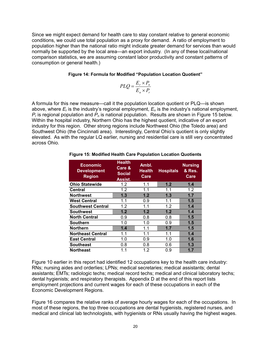Since we might expect demand for health care to stay constant relative to general economic conditions, we could use total population as a proxy for demand. A ratio of employment to population higher than the national ratio might indicate greater demand for services than would normally be supported by the local area—an export industry. (In any of these local/national comparison statistics, we are assuming constant labor productivity and constant patterns of consumption or general health.)

#### **Figure 14: Formula for Modified "Population Location Quotient"**

$$
PLQ = \frac{E_r \times P_n}{E_n \times P_r}
$$

A formula for this new measure—call it the population location quotient or PLQ—is shown above, where *Er* is the industry's regional employment, *En* is the industry's national employment,  $P_r$  is regional population and  $P_n$  is national population. Results are shown in Figure 15 below. Within the hospital industry, Northern Ohio has the highest quotient, indicative of an export industry for this region. Other strong regions include Northwest Ohio (the Toledo area) and Southwest Ohio (the Cincinnati area). Interestingly, Central Ohio's quotient is only slightly elevated. As with the regular LQ earlier, nursing and residential care is still very concentrated across Ohio.

| <b>Economic</b><br><b>Development</b><br><b>Region</b> | <b>Health</b><br>Care &<br><b>Social</b><br>Assist. | Ambl.<br><b>Health</b><br><b>Care</b> | <b>Hospitals</b> | <b>Nursing</b><br>& Res.<br>Care |
|--------------------------------------------------------|-----------------------------------------------------|---------------------------------------|------------------|----------------------------------|
| <b>Ohio Statewide</b>                                  | 1.2                                                 | 1.1                                   | 1.2              | 1.4                              |
| <b>Central</b>                                         | 1.2                                                 | 1.1                                   | 1.1              | 1.2                              |
| <b>Northwest</b>                                       | 1.3                                                 | 1.2                                   | 1.3              | 1.7                              |
| <b>West Central</b>                                    | 1.1                                                 | 0.9                                   | 1.1              | 1.5                              |
| <b>Southwest Central</b>                               | 1.2                                                 | 1.1                                   | 1.2              | 1.4                              |
| <b>Southwest</b>                                       | 1.2                                                 | 1.2                                   | 1.2              | 1.4                              |
| <b>North Central</b>                                   | 0.9                                                 | 0.8                                   | 0.8              | 1.5                              |
| <b>Southern</b>                                        | 1.0                                                 | 1.0                                   | 0.9              | 1.5                              |
| <b>Northern</b>                                        | 1.4                                                 | 1.1                                   | 1.7              | 1.5                              |
| <b>Northeast Central</b>                               | 1.1                                                 | 1.1                                   | 1.1              | 1.4                              |
| <b>East Central</b>                                    | 1.0                                                 | 0.9                                   | 1.0              | 1.6                              |
| <b>Southeast</b>                                       | 0.8                                                 | 0.8                                   | 0.6              | 1.3                              |
| <b>Northeast</b>                                       | 1.1                                                 | 1.2                                   | 0.9              | 1.7                              |

**Figure 15: Modified Health Care Population Location Quotients** 

Figure 10 earlier in this report had identified 12 occupations key to the health care industry: RNs; nursing aides and orderlies; LPNs; medical secretaries; medical assistants; dental assistants; EMTs; radiologic techs; medical record techs; medical and clinical laboratory techs; dental hygienists; and respiratory therapists. Appendix D at the end of this report lists employment projections and current wages for each of these occupations in each of the Economic Development Regions.

Figure 16 compares the relative ranks of average hourly wages for each of the occupations. In most of these regions, the top three occupations are dental hygienists, registered nurses, and medical and clinical lab technologists, with hygienists or RNs usually having the highest wages.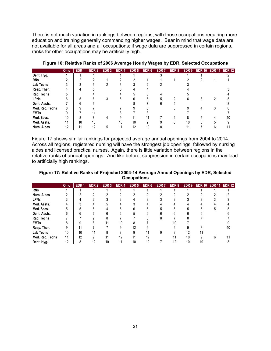There is not much variation in rankings between regions, with those occupations requiring more education and training generally commanding higher wages. Bear in mind that wage data are not available for all areas and all occupations; if wage data are suppressed in certain regions, ranks for other occupations may be artificially high.

|                    | Ohio | EDR <sub>1</sub> | EDR <sub>2</sub> | EDR <sub>3</sub> | EDR <sub>4</sub> | EDR <sub>5</sub> | EDR <sub>6</sub> | EDR <sub>7</sub> | EDR <sub>8</sub> | EDR 9 | <b>EDR 10</b> | <b>EDR 11</b> | <b>EDR 12</b> |
|--------------------|------|------------------|------------------|------------------|------------------|------------------|------------------|------------------|------------------|-------|---------------|---------------|---------------|
| Dent. Hyg.         |      |                  |                  |                  |                  |                  |                  |                  |                  |       |               |               |               |
| <b>RNs</b>         |      |                  |                  |                  |                  |                  |                  |                  |                  |       |               |               |               |
| <b>Lab Techs</b>   |      |                  |                  |                  |                  |                  |                  |                  |                  |       |               |               |               |
| Resp. Ther.        |      |                  |                  |                  |                  |                  |                  |                  |                  |       |               |               |               |
| Rad. Techs         | 5    |                  |                  |                  |                  |                  |                  |                  |                  |       |               |               |               |
| <b>LPNs</b>        | հ    |                  |                  |                  | 6                |                  |                  |                  | ∩                |       |               |               |               |
| Dent. Assts.       |      |                  |                  |                  |                  |                  |                  |                  |                  |       |               |               |               |
| Med. Rec. Techs    | 8    | a                |                  |                  |                  |                  |                  |                  |                  |       |               |               |               |
| <b>EMTs</b>        | 9    |                  |                  |                  |                  |                  |                  |                  |                  |       |               |               |               |
| Med. Secs.         | 10   | 8                | 8                |                  |                  |                  | 11               |                  | 4                |       | 5             |               | 10            |
| Med. Assts.        | 11   | 10               | 10               |                  | 10               | 10               | 9                |                  | h                | 10    | h             |               |               |
| <b>Nurs. Aides</b> | 12   |                  | 12               | 5                |                  | 12               | 10               |                  |                  |       |               |               |               |

#### **Figure 16: Relative Ranks of 2006 Average Hourly Wages by EDR, Selected Occupations**

Figure 17 shows similar rankings for projected average annual openings from 2004 to 2014. Across all regions, registered nursing will have the strongest job openings, followed by nursing aides and licensed practical nurses. Again, there is little variation between regions in the relative ranks of annual openings. And like before, suppression in certain occupations may lead to artificially high rankings.

#### **Figure 17: Relative Ranks of Projected 2004-14 Average Annual Openings by EDR, Selected Occupations**

|                    | Ohio | EDR <sub>1</sub> | EDR <sub>2</sub> | EDR <sub>3</sub> | EDR 4 | EDR <sub>5</sub> | EDR <sub>6</sub> | EDR <sub>7</sub> | EDR <sub>8</sub> | EDR 9 | <b>EDR 10</b> | <b>EDR 11</b> | <b>EDR 12</b> |
|--------------------|------|------------------|------------------|------------------|-------|------------------|------------------|------------------|------------------|-------|---------------|---------------|---------------|
| <b>RNs</b>         |      |                  |                  |                  |       |                  |                  |                  |                  |       |               |               |               |
| <b>Nurs, Aides</b> |      |                  |                  |                  |       |                  | r                |                  |                  |       |               |               |               |
| <b>LPNs</b>        |      |                  |                  |                  |       |                  |                  |                  |                  |       |               |               |               |
| Med. Assts.        | 4    |                  |                  |                  |       |                  |                  |                  |                  |       |               |               |               |
| Med. Secs.         | 5    |                  |                  |                  |       |                  |                  |                  | h.               | ٠h    |               | ۰.            |               |
| Dent. Assts.       | հ    |                  | h                |                  |       |                  |                  |                  |                  | h     |               |               |               |
| Rad. Techs         |      |                  |                  |                  |       |                  |                  |                  |                  |       |               |               |               |
| <b>EMTs</b>        |      |                  | я                |                  | 10    | 8                |                  |                  | 10               |       |               |               |               |
| Resp. Ther.        | 9    | 11               |                  |                  | 9     | 12               | q                |                  |                  | 9     |               |               | 10            |
| <b>Lab Techs</b>   | 10   | 10               |                  |                  | 8     | 9                |                  | 9                | 8                | 12    | 11            |               |               |
| Med. Rec. Techs    | 11   | 12               | 9                |                  | 12    | 11               | 12               |                  |                  | 10    |               | h             |               |
| Dent. Hyg.         | 12   |                  | 12               | 10               | 11    | 10               | 10               |                  | 12               | 10    | 10            |               |               |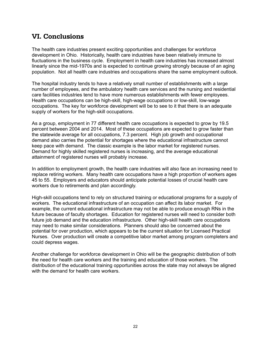## **VI. Conclusions**

The health care industries present exciting opportunities and challenges for workforce development in Ohio. Historically, health care industries have been relatively immune to fluctuations in the business cycle. Employment in health care industries has increased almost linearly since the mid-1970s and is expected to continue growing strongly because of an aging population. Not all health care industries and occupations share the same employment outlook.

The hospital industry tends to have a relatively small number of establishments with a large number of employees, and the ambulatory health care services and the nursing and residential care facilities industries tend to have more numerous establishments with fewer employees. Health care occupations can be high-skill, high-wage occupations or low-skill, low-wage occupations. The key for workforce development will be to see to it that there is an adequate supply of workers for the high-skill occupations.

As a group, employment in 77 different health care occupations is expected to grow by 19.5 percent between 2004 and 2014. Most of these occupations are expected to grow faster than the statewide average for all occupations, 7.3 percent. High job growth and occupational demand also carries the potential for shortages where the educational infrastructure cannot keep pace with demand. The classic example is the labor market for registered nurses. Demand for highly skilled registered nurses is increasing, and the average educational attainment of registered nurses will probably increase.

In addition to employment growth, the health care industries will also face an increasing need to replace retiring workers. Many health care occupations have a high proportion of workers ages 45 to 55. Employers and educators should anticipate potential losses of crucial health care workers due to retirements and plan accordingly.

High-skill occupations tend to rely on structured training or educational programs for a supply of workers. The educational infrastructure of an occupation can affect its labor market. For example, the current educational infrastructure may not be able to produce enough RNs in the future because of faculty shortages. Education for registered nurses will need to consider both future job demand and the education infrastructure. Other high-skill health care occupations may need to make similar considerations. Planners should also be concerned about the potential for over production, which appears to be the current situation for Licensed Practical Nurses. Over production will create a competitive labor market among program completers and could depress wages.

Another challenge for workforce development in Ohio will be the geographic distribution of both the need for health care workers and the training and education of those workers. The distribution of the educational training opportunities across the state may not always be aligned with the demand for health care workers.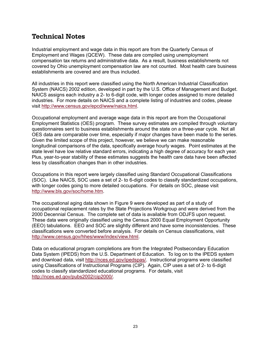## **Technical Notes**

Industrial employment and wage data in this report are from the Quarterly Census of Employment and Wages (QCEW). These data are compiled using unemployment compensation tax returns and administrative data. As a result, business establishments not covered by Ohio unemployment compensation law are not counted. Most health care business establishments are covered and are thus included.

All industries in this report were classified using the North American Industrial Classification System (NAICS) 2002 edition, developed in part by the U.S. Office of Management and Budget. NAICS assigns each industry a 2- to 6-digit code, with longer codes assigned to more detailed industries. For more details on NAICS and a complete listing of industries and codes, please visit http://www.census.gov/epcd/www/naics.html.

Occupational employment and average wage data in this report are from the Occupational Employment Statistics (OES) program. These survey estimates are compiled through voluntary questionnaires sent to business establishments around the state on a three-year cycle. Not all OES data are comparable over time, especially if major changes have been made to the series. Given the limited scope of this project, however, we believe we can make reasonable longitudinal comparisons of the data, specifically average hourly wages. Point estimates at the state level have low relative standard errors, indicating a high degree of accuracy for each year. Plus, year-to-year stability of these estimates suggests the health care data have been affected less by classification changes than in other industries.

Occupations in this report were largely classified using Standard Occupational Classifications (SOC). Like NAICS, SOC uses a set of 2- to 6-digit codes to classify standardized occupations, with longer codes going to more detailed occupations. For details on SOC, please visit http://www.bls.gov/soc/home.htm.

The occupational aging data shown in Figure 9 were developed as part of a study of occupational replacement rates by the State Projections Workgroup and were derived from the 2000 Decennial Census. The complete set of data is available from ODJFS upon request. These data were originally classified using the Census 2000 Equal Employment Opportunity (EEO) tabulations. EEO and SOC are slightly different and have some inconsistencies. These classifications were converted before analysis. For details on Census classifications, visit http://www.census.gov/hhes/www/index/view.html.

Data on educational program completions are from the Integrated Postsecondary Education Data System (IPEDS) from the U.S. Department of Education. To log on to the IPEDS system and download data, visit http://nces.ed.gov/ipedspas/. Instructional programs were classified using Classifications of Instructional Programs (CIP). Again, CIP uses a set of 2- to 6-digit codes to classify standardized educational programs. For details, visit http://nces.ed.gov/pubs2002/cip2000/.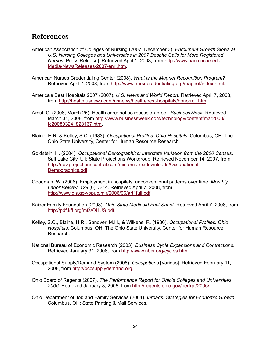## **References**

- American Association of Colleges of Nursing (2007, December 3). *Enrollment Growth Slows at U.S. Nursing Colleges and Universities in 2007 Despite Calls for More Registered Nurses* [Press Release]. Retrieved April 1, 2008, from http://www.aacn.nche.edu/ Media/NewsReleases/2007/enrl.htm.
- American Nurses Credentialing Center (2008). *What is the Magnet Recognition Program?* Retrieved April 7, 2008, from http://www.nursecredentialing.org/magnet/index.html.
- America's Best Hospitals 2007 (2007). *U.S. News and World Report.* Retrieved April 7, 2008, from http://health.usnews.com/usnews/health/best-hospitals/honorroll.htm.
- Arnst, C. (2008, March 25). Health care: not so recession-proof. *BusinessWeek*. Retrieved March 31, 2008, from http://www.businessweek.com/technology/content/mar2008/ tc20080324\_828167.htm.
- Blaine, H.R. & Kelley, S.C. (1983). *Occupational Profiles: Ohio Hospitals*. Columbus, OH: The Ohio State University, Center for Human Resource Research.
- Goldstein, H. (2004). *Occupational Demographics: Interstate Variation from the 2000 Census*. Salt Lake City, UT: State Projections Workgroup. Retrieved November 14, 2007, from http://dev.projectionscentral.com/micromatrix/downloads/Occupational\_ Demographics.pdf.
- Goodman, W. (2006). Employment in hospitals: unconventional patterns over time. *Monthly Labor Review, 129* (6), 3-14. Retrieved April 7, 2008, from http://www.bls.gov/opub/mlr/2006/06/art1full.pdf.
- Kaiser Family Foundation (2008). *Ohio State Medicaid Fact Sheet.* Retrieved April 7, 2008, from http://pdf.kff.org/mfs/OHUS.pdf.
- Kelley, S.C., Blaine, H.R., Sandver, M.H., & Wilkens, R. (1980). *Occupational Profiles: Ohio Hospitals*. Columbus, OH: The Ohio State University, Center for Human Resource Research.
- National Bureau of Economic Research (2003). *Business Cycle Expansions and Contractions*. Retrieved January 31, 2008, from http://www.nber.org/cycles.html.
- Occupational Supply/Demand System (2008). *Occupations* [Various]. Retrieved February 11, 2008, from http://occsupplydemand.org.
- Ohio Board of Regents (2007). *The Performance Report for Ohio's Colleges and Universities, 2006*. Retrieved January 8, 2008, from http://regents.ohio.gov/perfrpt/2006/.
- Ohio Department of Job and Family Services (2004). *Inroads: Strategies for Economic Growth.* Columbus, OH: State Printing & Mail Services.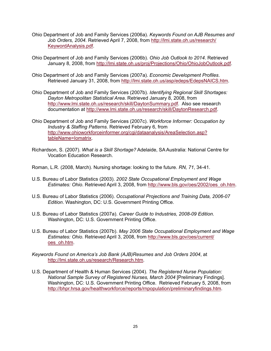- Ohio Department of Job and Family Services (2006a). *Keywords Found on AJB Resumes and Job Orders, 2004.* Retrieved April 7, 2008, from http://lmi.state.oh.us/research/ KeywordAnalysis.pdf.
- Ohio Department of Job and Family Services (2006b). *Ohio Job Outlook to 2014*. Retrieved January 8, 2008, from http://lmi.state.oh.us/proj/Projections/Ohio/OhioJobOutlook.pdf.
- Ohio Department of Job and Family Services (2007a). *Economic Development Profiles*. Retrieved January 31, 2008, from http://lmi.state.oh.us/asp/edeps/EdepsNAICS.htm.
- Ohio Department of Job and Family Services (2007b). *Identifying Regional Skill Shortages: Dayton Metropolitan Statistical Area*. Retrieved January 8, 2008, from http://www.lmi.state.oh.us/research/skill/DaytonSummary.pdf. Also see research documentation at http://www.lmi.state.oh.us/research/skill/DaytonResearch.pdf.
- Ohio Department of Job and Family Services (2007c). *Workforce Informer: Occupation by Industry & Staffing Patterns*. Retrieved February 6, from http://www.ohioworkforceinformer.org/cgi/dataanalysis/AreaSelection.asp? tableName=Iomatrix.
- Richardson, S. (2007). *What is a Skill Shortage?* Adelaide, SA Australia: National Centre for Vocation Education Research.
- Roman, L.R. (2008, March). Nursing shortage: looking to the future. *RN, 71*, 34-41.
- U.S. Bureau of Labor Statistics (2003). *2002 State Occupational Employment and Wage Estimates: Ohio*. Retrieved April 3, 2008, from http://www.bls.gov/oes/2002/oes\_oh.htm.
- U.S. Bureau of Labor Statistics (2006). *Occupational Projections and Training Data, 2006-07 Edition*. Washington, DC: U.S. Government Printing Office.
- U.S. Bureau of Labor Statistics (2007a). *Career Guide to Industries, 2008-09 Edition*. Washington, DC: U.S. Government Printing Office.
- U.S. Bureau of Labor Statistics (2007b). *May 2006 State Occupational Employment and Wage Estimates: Ohio*. Retrieved April 3, 2008, from http://www.bls.gov/oes/current/ oes\_oh.htm.
- *Keywords Found on America's Job Bank (AJB)Resumes and Job Orders 2004*, at http://lmi.state.oh.us/research/Research.htm.
- U.S. Department of Health & Human Services (2004). *The Registered Nurse Population: National Sample Survey of Registered Nurses, March 2004* [Preliminary Findings]. Washington, DC: U.S. Government Printing Office. Retrieved February 5, 2008, from http://bhpr.hrsa.gov/healthworkforce/reports/rnpopulation/preliminaryfindings.htm.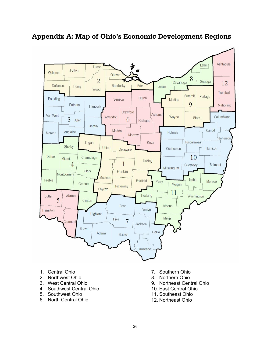## **Appendix A: Map of Ohio's Economic Development Regions**



- 1. Central Ohio
- 2. Northwest Ohio
- 3. West Central Ohio
- 4. Southwest Central Ohio
- 5. Southwest Ohio
- 6. North Central Ohio
- 7. Southern Ohio
- 8. Northern Ohio
- 9. Northeast Central Ohio
- 10. East Central Ohio
- 11. Southeast Ohio
- 12. Northeast Ohio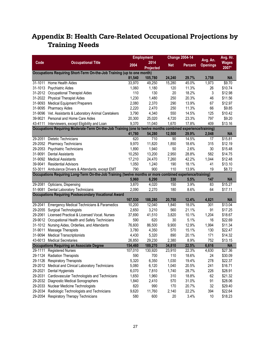# **Appendix B: Health Care-Related Occupational Projections by Training Needs**

|                    |                                                                                                             |                   | <b>Employment</b> |                 | <b>Change 2004-14</b> | Avg. An.        | Avg. Hr.             |
|--------------------|-------------------------------------------------------------------------------------------------------------|-------------------|-------------------|-----------------|-----------------------|-----------------|----------------------|
| Code               | <b>Occupational Title</b>                                                                                   | 2004              | 2014              | <b>Net</b>      | <b>Percent</b>        | <b>Openings</b> | <b>Wages</b>         |
|                    |                                                                                                             |                   | Projected         |                 |                       |                 | 2007*                |
|                    | Occupations Requiring Short-Term On-the-Job Training (up to one month)                                      |                   |                   |                 |                       |                 |                      |
|                    |                                                                                                             | 81,540            | 105,780           | 24,240          | 29.7%                 | 3,758           | <b>NA</b>            |
| 31-1011            | Home Health Aides                                                                                           | 33,970            | 49,250            | 15,280          | 45.0%<br>11.3%        | 1,973           | \$9.70               |
| 31-1013            | <b>Psychiatric Aides</b>                                                                                    | 1,060             | 1,180             | 120             |                       | 26              | \$10.74              |
|                    | 31-2012 Occupational Therapist Aides                                                                        | 110               | 130               | 20              | 18.2%<br>20.3%        | 3               | \$12.98              |
|                    | 31-2022 Physical Therapist Aides                                                                            | 1,230             | 1,480             | 250             |                       | 46              | \$11.56              |
|                    | 31-9093 Medical Equipment Preparers                                                                         | 2,080             | 2,370             | 290             | 13.9%                 | 67              | \$12.97              |
| 31-9095            | <b>Pharmacy Aides</b>                                                                                       | 2,220             | 2,470             | 250             | 11.3%                 | 66              | \$9.85               |
| 31-9096            | Vet. Assistants & Laboratory Animal Caretakers                                                              | 3,790             | 4,340             | 550             | 14.5%                 | 125             | \$10.42              |
| 39-9021            | Personal and Home Care Aides                                                                                | 20,300            | 25,020            | 4,720           | 23.3%                 | 797             | \$9.20               |
| 43-4111            | Interviewers, except Eligibility and Loan                                                                   | 9,370             | 11,040            | 1,670           | 17.8%                 | 409             | \$13.16              |
|                    | Occupations Requiring Moderate-Term On-the-Job Training (one to twelve months combined experience/training) |                   |                   |                 |                       |                 |                      |
|                    |                                                                                                             | 41,780            | 54,280<br>710     | 12,500          | 29.9%                 | 2,048           | <b>NA</b><br>\$15.81 |
| 29-2051            | Dietetic Technicians                                                                                        | 620               |                   | 90              | 14.5%                 | 17              |                      |
| 29-2052            | Pharmacy Technicians                                                                                        | 9,970             | 11,820            | 1,850           | 18.6%                 | 315             | \$12.19<br>\$15.48   |
| 29-2053            | Psychiatric Technicians                                                                                     | 1,890             | 1,940             | 50              | 2.6%                  | 30              |                      |
| 31-9091            | <b>Dental Assistants</b>                                                                                    | 10,250            | 13,200            | 2,950           | 28.8%                 | 582             | \$14.75              |
| 31-9092            | <b>Medical Assistants</b>                                                                                   | 17,210            | 24,470            | 7,260           | 42.2%                 | 1,044           | \$12.48              |
| 39-9041            | <b>Residential Advisors</b>                                                                                 | 1,050             | 1,240             | 190             | 18.1%                 | 41              | \$13.10              |
| 53-3011            | Ambulance Drivers & Attendants, except EMT                                                                  | 790               | 900               | 110             | 13.9%                 | 19              | \$8.72               |
|                    | Occupations Requiring Long-Term On-the-Job Training (twelve months or more combined experience/training)    |                   |                   |                 |                       |                 |                      |
|                    |                                                                                                             | 5,960             | 6,290             | 330             | 5.5%                  | 147             | <b>NA</b>            |
|                    | 29-2081 Opticians, Dispensing                                                                               | 3,870             | 4,020             | 150             | 3.9%                  | 83              | \$15.27              |
|                    | 51-9081 Dental Laboratory Technicians                                                                       | 2,090             | 2,270             | 180             | 8.6%                  | 64              | \$17.11              |
|                    | <b>Occupations Requiring Postsecondary Vocational Award</b>                                                 |                   |                   |                 | 12.4%                 |                 | <b>NA</b>            |
| 29-2041            | <b>Emergency Medical Technicians &amp; Paramedics</b>                                                       | 167,530<br>10,200 | 188,280<br>12,040 | 20,750<br>1,840 | 18.0%                 | 4,821<br>301    | \$13.04              |
| 29-2055            | <b>Surgical Technologists</b>                                                                               | 2,650             | 3,210             | 560             | 21.1%                 | 91              | \$17.25              |
| 29-2061            | Licensed Practical & Licensed Vocat. Nurses                                                                 | 37,690            | 41,510            | 3,820           | 10.1%                 | 1,204           | \$18.67              |
|                    |                                                                                                             |                   |                   |                 | 5.1%                  |                 |                      |
| 29-9012<br>31-1012 | Occupational Health and Safety Technicians                                                                  | 590<br>76,600     | 620<br>86,500     | 30              | 12.9%                 | 16              | \$22.69<br>\$11.34   |
| 31-9011            | Nursing Aides, Orderlies, and Attendants                                                                    |                   |                   | 9,900           |                       | 1,994           | \$22.47              |
| 31-9094            | Massage Therapists                                                                                          | 3,780             | 4,350             | 570<br>890      | 15.1%                 | 130<br>171      | \$14.32              |
| 43-6013            | <b>Medical Transcriptionists</b><br><b>Medical Secretaries</b>                                              | 4,430             | 5,320             | 2,380           | 20.1%<br>8.9%         |                 |                      |
|                    | <b>Occupations Requiring an Associate Degree</b>                                                            | 26,850<br>154,460 | 29,230<br>189,270 | 34,810          | 22.5%                 | 752<br>6,616    | \$13.15<br><b>NA</b> |
|                    | 29-1111 Registered Nurses                                                                                   | 107,010           | 130,920           | 23,910          | 22.3%                 | 4,630           | \$27.36              |
|                    | 29-1124 Radiation Therapists                                                                                | 590               | 700               | 110             | 18.6%                 | 24              | \$30.09              |
| 29-1126            | <b>Respiratory Therapists</b>                                                                               | 5,320             | 6,350             | 1,030           | 19.4%                 | 278             | \$22.37              |
|                    |                                                                                                             |                   | 6,120             |                 |                       |                 |                      |
| 29-2012            | Medical and Clinical Laboratory Technicians                                                                 | 5,080             |                   | 1,040           | 20.5%                 | 241             | \$16.71              |
| 29-2021            | Dental Hygienists                                                                                           | 6,070             | 7,810             | 1,740           | 28.7%                 | 226             | \$28.91              |
| 29-2031            | Cardiovascular Technologists and Technicians                                                                | 1,650             | 1,960             | 310             | 18.8%                 | 62              | \$21.32              |
| 29-2032            | Diagnostic Medical Sonographers                                                                             | 1,840             | 2,410             | 570             | 31.0%                 | 91              | \$28.06              |
| 29-2033            | Nuclear Medicine Technologists                                                                              | 820               | 990               | 170             | 20.7%                 | 32              | \$29.40              |
| 29-2034            | Radiologic Technologists and Technicians                                                                    | 9,620             | 11,760            | 2,140           | 22.2%                 | 394             | \$22.64              |
| 29-2054            | <b>Respiratory Therapy Technicians</b>                                                                      | 580               | 600               | 20              | 3.4%                  | 10              | \$18.23              |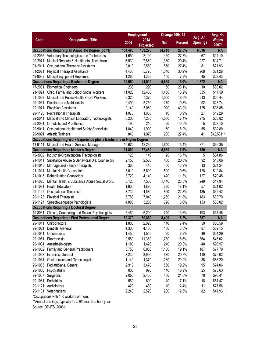|         |                                                                          |         | <b>Employment</b> |            | <b>Change 2004-14</b> |                             | Avg. Hr.     |
|---------|--------------------------------------------------------------------------|---------|-------------------|------------|-----------------------|-----------------------------|--------------|
| Code    | <b>Occupational Title</b>                                                | 2004    | 2014              | <b>Net</b> | <b>Percent</b>        | Avg. An.<br><b>Openings</b> | <b>Wages</b> |
|         |                                                                          |         | Projected         |            |                       |                             | 2007*        |
|         | <b>Occupations Requiring an Associate Degree [con't]</b>                 | 154,460 | 189,270           | 34,810     | 22.5%                 | 6,616                       | <b>NA</b>    |
|         | 29-2056 Veterinary Technologists and Technicians                         | 1,650   | 2,100             | 450        | 27.3%                 | 67                          | \$14.10      |
| 29-2071 | Medical Records & Health Info. Technicians                               | 6,530   | 7,860             | 1,330      | 20.4%                 | 227                         | \$14.71      |
| 31-2011 | <b>Occupational Therapist Assistants</b>                                 | 2,010   | 2,560             | 550        | 27.4%                 | 81                          | \$21.93      |
| 31-2021 | <b>Physical Therapist Assistants</b>                                     | 4,430   | 5,770             | 1,340      | 30.2%                 | 208                         | \$21.28      |
|         | 49-9062 Medical Equipment Repairers                                      | 1,260   | 1,360             | 100        | 7.9%                  | 45                          | \$22.43      |
|         | <b>Occupations Requiring a Bachelor's Degree</b>                         | 39,050  | 44,910            | 5,860      | 15.0%                 | 1,372                       | <b>NA</b>    |
|         | 17-2031 Biomedical Engineers                                             | 230     | 290               | 60         | 26.1%                 | 10                          | \$33.02      |
| 21-1021 | Child, Family and School Social Workers                                  | 11,020  | 12,480            | 1,460      | 13.2%                 | 335                         | \$17.59      |
|         | 21-1022 Medical and Public Health Social Workers                         | 6,320   | 7,370             | 1,050      | 16.6%                 | 213                         | \$20.44      |
| 29-1031 | Dietitians and Nutritionists                                             | 2,490   | 2,760             | 270        | 10.8%                 | 92                          | \$23.74      |
| 29-1071 | <b>Physician Assistants</b>                                              | 2,140   | 3,060             | 920        | 43.0%                 | 125                         | \$36.85      |
|         | 29-1125 Recreational Therapists                                          | 1,070   | 1,080             | 10         | 0.9%                  | 27                          | \$19.29      |
| 29-2011 | Medical and Clinical Laboratory Technologists                            | 6,200   | 7,280             | 1,080      | 17.4%                 | 275                         | \$23.82      |
| 29-2091 | <b>Orthotists and Prosthetists</b>                                       | 190     | 210               | 20         | 10.5%                 | 5                           | \$28.10      |
| 29-9011 | Occupational Health and Safety Specialists                               | 1,840   | 1,990             | 150        | 8.2%                  | 55                          | \$32.80      |
| 29-9091 | <b>Athletic Trainers</b>                                                 | 840     | 1,070             | 230        | 27.4%                 | 41                          | \$42,581**   |
|         | Occupations Requiring Work Experience plus a Bachelor's or Higher Degree |         |                   |            |                       |                             |              |
|         | 11-9111 Medical and Health Services Managers                             | 10,620  | 12,260            | 1,640      | 15.4%                 | 371                         | \$36.35      |
|         | <b>Occupations Requiring a Master's Degree</b>                           | 31,800  | 37,480            | 5,680      | 17.9%                 | 1,150                       | <b>NA</b>    |
|         | 19-3032 Industrial-Organizational Psychologists                          | 120     | 140               | 20         | 16.7%                 | 5                           | \$34.86      |
| 21-1011 | Substance Abuse & Behavioral Dis. Counselors                             | 2,150   | 2,580             | 430        | 20.0%                 | 92                          | \$18.06      |
| 21-1013 | Marriage and Family Therapists                                           | 360     | 410               | 50         | 13.9%                 | 13                          | \$24.24      |
| 21-1014 | <b>Mental Health Counselors</b>                                          | 3,010   | 3,600             | 590        | 19.6%                 | 128                         | \$19.84      |
|         | 21-1015 Rehabilitation Counselors                                        | 3,720   | 4,140             | 420        | 11.3%                 | 127                         | \$20.45      |
| 21-1023 | Mental Health & Substance Abuse Social Work.                             | 6,120   | 7,560             | 1,440      | 23.5%                 | 249                         | \$17.94      |
| 21-1091 | <b>Health Educators</b>                                                  | 1,600   | 1,890             | 290        | 18.1%                 | 57                          | \$21.02      |
| 29-1122 | Occupational Therapists                                                  | 3,730   | 4,580             | 850        | 22.8%                 | 135                         | \$32.42      |
| 29-1123 | <b>Physical Therapists</b>                                               | 5,780   | 7,040             | 1,260      | 21.8%                 | 183                         | \$33.70      |
|         | 29-1127 Speech-Language Pathologists                                     | 4,880   | 5,200             | 320        | 6.6%                  | 153                         | \$33.02      |
|         | <b>Occupations Requiring a Doctoral Degree</b>                           |         |                   |            |                       |                             |              |
| 19-3031 | Clinical, Counseling and School Psychologists                            | 5,460   | 6,200             | 740        | 13.6%                 | 193                         | \$37.46      |
|         | <b>Occupations Requiring a First Professional Degree</b>                 | 52,370  | 60,860            | 8,490      | 16.2%                 | 1,687                       | <b>NA</b>    |
| 29-1011 | Chiropractors                                                            | 1,880   | 2,020             | 140        | 7.4%                  | 50                          | \$50.59      |
| 29-1021 | Dentists, General                                                        | 4,300   | 4,450             | 150        | 3.5%                  | 87                          | \$82.15      |
|         | 29-1041 Optometrists                                                     | 1,450   | 1,540             | 90         | 6.2%                  | 49                          | \$54.29      |
| 29-1051 | Pharmacists                                                              | 9,580   | 11,360            | 1,780      | 18.6%                 | 364                         | \$45.02      |
| 29-1061 | Anesthesiologists                                                        | 1,180   | 1,420             | 240        | 20.3%                 | 40                          | \$93.97      |
|         | 29-1062 Family and General Practitioners                                 | 5,750   | 6,850             | 1,100      | 19.1%                 | 187                         | \$77.79      |
| 29-1063 | Internists, General                                                      | 3,230   | 3,900             | 670        | 20.7%                 | 110                         | \$76.02      |
| 29-1064 | Obstetricians and Gynecologists                                          | 1,140   | 1,370             | 230        | 20.2%                 | 38                          | \$83.20      |
| 29-1065 | Pediatricians, General                                                   | 2,910   | 3,470             | 560        | 19.2%                 | 95                          | \$74.06      |
| 29-1066 | Psychiatrists                                                            | 830     | 970               | 140        | 16.9%                 | 25                          | \$73.63      |
| 29-1067 | Surgeons                                                                 | 2,050   | 2,480             | 430        | 21.0%                 | 70                          | \$93.41      |
| 29-1081 | Podiatrists                                                              | 560     | 600               | 40         | 7.1%                  | 18                          | \$51.47      |
| 29-1121 | Audiologists                                                             | 420     | 430               | 10         | 2.4%                  | 11                          | \$27.56      |
| 29-1131 | Veterinarians                                                            | 2,240   | 2,520             | 280        | 12.5%                 | 82                          | \$41.93      |

\*Occupations with 100 workers or more.

\*\*Annual earnings, typically for a 9½ month school year.

Source: ODJFS, 2006b.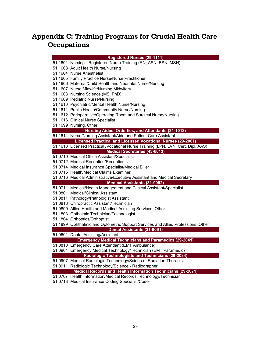# **Appendix C: Training Programs for Crucial Health Care Occupations**

| <b>Registered Nurses (29-1111)</b>                                                                                               |
|----------------------------------------------------------------------------------------------------------------------------------|
| 51.1601 Nursing - Registered Nurse Training (RN, ASN, BSN, MSN)                                                                  |
| 51.1603 Adult Health Nurse/Nursing                                                                                               |
| 51.1604 Nurse Anesthetist                                                                                                        |
| 51.1605 Family Practice Nurse/Nurse Practitioner                                                                                 |
| 51.1606 Maternal/Child Health and Neonatal Nurse/Nursing                                                                         |
| 51.1607 Nurse Midwife/Nursing Midwifery                                                                                          |
| 51.1608 Nursing Science (MS, PhD)                                                                                                |
| 51.1609 Pediatric Nurse/Nursing                                                                                                  |
| 51.1610 Psychiatric/Mental Health Nurse/Nursing                                                                                  |
| 51.1611 Public Health/Community Nurse/Nursing                                                                                    |
| 51.1612 Perioperative/Operating Room and Surgical Nurse/Nursing                                                                  |
| 51.1616 Clinical Nurse Specialist                                                                                                |
| 51.1699 Nursing, Other                                                                                                           |
| Nursing Aides, Orderlies, and Attendants (31-1012)                                                                               |
| 51.1614 Nurse/Nursing Assistant/Aide and Patient Care Assistant                                                                  |
| <b>Licensed Practical and Licensed Vocational Nurses (29-2061)</b>                                                               |
| 51.1613 Licensed Practical /Vocational Nurse Training (LPN, LVN, Cert, Dipl, AAS)                                                |
| <b>Medical Secretaries (43-6013)</b>                                                                                             |
| 51.0710 Medical Office Assistant/Specialist                                                                                      |
| 51.0712 Medical Reception/Receptionist                                                                                           |
| 51.0714 Medical Insurance Specialist/Medical Biller                                                                              |
| 51.0715 Health/Medical Claims Examiner                                                                                           |
| 51.0716 Medical Administrative/Executive Assistant and Medical Secretary                                                         |
| <b>Medical Assistants (31-9092)</b>                                                                                              |
| 51.0711 Medical/Health Management and Clinical Assistant/Specialist                                                              |
| 51.0801 Medical/Clinical Assistant                                                                                               |
| 51.0811 Pathology/Pathologist Assistant                                                                                          |
| 51.0813 Chiropractic Assistant/Technician                                                                                        |
| 51.0899 Allied Health and Medical Assisting Services, Other                                                                      |
| 51.1803 Opthalmic Technician/Technologist                                                                                        |
| 51.1804 Orthoptics/Orthoptist                                                                                                    |
| 51.1899 Ophthalmic and Optometric Support Services and Allied Professions, Other                                                 |
| Dental Assistants (31-9091)                                                                                                      |
| 51.0601 Dental Assisting/Assistant                                                                                               |
| <b>Emergency Medical Technicians and Paramedics (29-2041)</b>                                                                    |
| 51.0810 Emergency Care Attendant (EMT Ambulance)                                                                                 |
| 51.0904 Emergency Medical Technology/Technician (EMT Paramedic)                                                                  |
| Radiologic Technologists and Technicians (29-2034)                                                                               |
| 51.0907 Medical Radiologic Technology/Science - Radiation Therapist                                                              |
| 51.0911 Radiologic Technology/Science - Radiographer                                                                             |
| Medical Records and Health Information Technicians (29-2071)<br>51.0707 Health Information/Medical Records Technology/Technician |
| $0.740$ Medical leaves on $0.1$ directed and $0.1$                                                                               |

51.0713 Medical Insurance Coding Specialist/Coder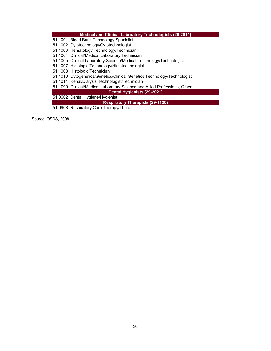| <b>Medical and Clinical Laboratory Technologists (29-2011)</b>            |
|---------------------------------------------------------------------------|
| 51.1001 Blood Bank Technology Specialist                                  |
| 51.1002 Cytotechnology/Cytotechnologist                                   |
| 51.1003 Hematology Technology/Technician                                  |
| 51.1004 Clinical/Medical Laboratory Technician                            |
| 51.1005 Clinical Laboratory Science/Medical Technology/Technologist       |
| 51.1007 Histologic Technology/Histotechnologist                           |
| 51.1008 Histologic Technician                                             |
| 51.1010 Cytogenetics/Genetics/Clinical Genetics Technology/Technologist   |
| 51.1011 Renal/Dialysis Technologist/Technician                            |
| 51.1099 Clinical/Medical Laboratory Science and Allied Professions, Other |
| Dental Hygienists (29-2021)                                               |
| 51.0602 Dental Hygiene/Hygienist                                          |
| <b>Respiratory Therapists (29-1126)</b>                                   |
| 51.0908 Respiratory Care Therapy/Therapist                                |

Source: OSDS, 2008.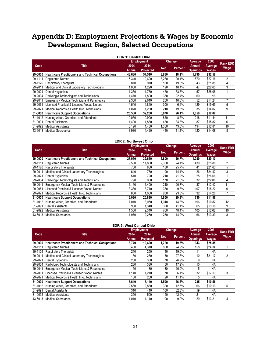# **Appendix D: Employment Projections & Wages by Economic Development Region, Selected Occupations**

|         | <b>EDR 1: Central Ohio</b>                                |                |                          |            |               |                           |                                |                 |  |  |  |
|---------|-----------------------------------------------------------|----------------|--------------------------|------------|---------------|---------------------------|--------------------------------|-----------------|--|--|--|
|         |                                                           |                | <b>Employment</b>        |            | <b>Change</b> | Average                   | 2006                           | <b>Rank EDR</b> |  |  |  |
| Code    | <b>Title</b>                                              | 2004<br>Annual | 2014<br><b>Projected</b> | <b>Net</b> | Percent       | Annual<br><b>Openings</b> | <b>Average</b><br><b>Wages</b> | Wage            |  |  |  |
| 29-0000 | <b>Healthcare Practitioners and Technical Occupations</b> | 48.680         | 57,510                   | 8,830      | 18.1%         | 1.790                     | \$32.58                        |                 |  |  |  |
| 29-1111 | <b>Registered Nurses</b>                                  | 16,340         | 19,620                   | 3,280      | 20.1%         | 670                       | \$27.16                        | 2               |  |  |  |
| 29-1126 | <b>Respiratory Therapists</b>                             | 810            | 970                      | 160        | 19.8%         | 43                        | \$21.85                        | 4               |  |  |  |
| 29-2011 | Medical and Clinical Laboratory Technologists             | 1,030          | 1,220                    | 190        | 18.4%         | 47                        | \$22.65                        | 3               |  |  |  |
| 29-2021 | Dental Hygienists                                         | 1,330          | 1,780                    | 450        | 33.8%         | 57                        | \$28.08                        |                 |  |  |  |
| 29-2034 | Radiologic Technologists and Technicians                  | 1,470          | 1,800                    | 330        | 22.4%         | 60                        | NA                             |                 |  |  |  |
| 29-2041 | Emergency Medical Technicians & Paramedics                | 2,360          | 2,610                    | 250        | 10.6%         | 52                        | \$14.24                        |                 |  |  |  |
| 29-2061 | Licensed Practical & Licensed Vocat. Nurses               | 4,540          | 4,840                    | 300        | 6.6%          | 129                       | \$19.69                        | 5               |  |  |  |
| 29-2071 | Medical Records & Health Info. Technicians                | 1,070          | 1,280                    | 210        | 19.6%         | 35                        | \$14.07                        | 9               |  |  |  |
| 31-0000 | <b>Healthcare Support Occupations</b>                     | 25,530         | 32,200                   | 6,670      | 26.1%         | 1,059                     | \$12.02                        |                 |  |  |  |
| 31-1012 | Nursing Aides, Orderlies, and Attendants                  | 10.050         | 10.900                   | 850        | 8.5%          | 218                       | \$11.44                        | 11              |  |  |  |
| 31-9091 | Dental Assistants                                         | 1,400          | 1,880                    | 480        | 34.3%         | 87                        | \$15.82                        | 6               |  |  |  |
| 31-9092 | <b>Medical Assistants</b>                                 | 3,120          | 4,480                    | 1,360      | 43.6%         | 194                       | \$12.81                        | 10              |  |  |  |
| 43-6013 | <b>Medical Secretaries</b>                                | 3,980          | 4.420                    | 440        | 11.1%         | 120                       | \$14.08                        | 8               |  |  |  |

|         | <b>EDR 2: Northwest Ohio</b>                              |                |                          |            |                |                           |                         |                 |  |  |  |
|---------|-----------------------------------------------------------|----------------|--------------------------|------------|----------------|---------------------------|-------------------------|-----------------|--|--|--|
|         |                                                           |                | <b>Employment</b>        |            | <b>Change</b>  | Average                   | 2006                    | <b>Rank EDR</b> |  |  |  |
| Code    | <b>Title</b>                                              | 2004<br>Annual | 2014<br><b>Projected</b> | <b>Net</b> | <b>Percent</b> | Annual<br><b>Openings</b> | Average<br><b>Wages</b> | <b>Wage</b>     |  |  |  |
| 29-0000 | <b>Healthcare Practitioners and Technical Occupations</b> | 27,050         | 32,650                   | 5,600      | 20.7%          | 1.080                     | \$29.10                 |                 |  |  |  |
| 29-1111 | <b>Registered Nurses</b>                                  | 9,550          | 11,850                   | 2,300      | 24.1%          | 430                       | \$25.88                 | 2               |  |  |  |
| 29-1126 | <b>Respiratory Therapists</b>                             | 700            | 880                      | 180        | 25.7%          | 41                        | \$21.63                 | 5               |  |  |  |
| 29-2011 | Medical and Clinical Laboratory Technologists             | 640            | 730                      | 90         | 14.1%          | 26                        | \$24.42                 | 3               |  |  |  |
| 29-2021 | Dental Hygienists                                         | 510            | 720                      | 210        | 41.2%          | 25                        | \$26.66                 |                 |  |  |  |
| 29-2034 | Radiologic Technologists and Technicians                  | 790            | 960                      | 170        | 21.5%          | 32                        | \$22.08                 | 4               |  |  |  |
| 29-2041 | Emergency Medical Technicians & Paramedics                | 1,160          | 1,400                    | 240        | 20.7%          | 37                        | \$12.42                 | 11              |  |  |  |
| 29-2061 | Licensed Practical & Licensed Vocat. Nurses               | 3,380          | 3,710                    | 330        | 9.8%           | 107                       | \$18.22                 | 6               |  |  |  |
| 29-2071 | Medical Records & Health Info. Technicians                | 860            | 1,060                    | 200        | 23.3%          | 32                        | \$14.26                 |                 |  |  |  |
| 31-0000 | <b>Healthcare Support Occupations</b>                     | 16,090         | 20,890                   | 4,800      | 29.8%          | 730                       | \$11.86                 |                 |  |  |  |
| 31-1012 | Nursing Aides, Orderlies, and Attendants                  | 7,010          | 8,050                    | 1,040      | 14.8%          | 196                       | \$10.82                 | 12              |  |  |  |
| 31-9091 | Dental Assistants                                         | 950            | 1,340                    | 390        | 41.1%          | 65                        | \$13.18                 | 9               |  |  |  |
| 31-9092 | <b>Medical Assistants</b>                                 | 1,580          | 2,340                    | 760        | 48.1%          | 105                       | \$12.62                 | 10              |  |  |  |
| 43-6013 | <b>Medical Secretaries</b>                                | 1.970          | 2,250                    | 280        | 14.2%          | 66                        | \$13.33                 | 8               |  |  |  |

#### **EDR 3: West Central Ohio**

|         |                                                           |        | <b>Employment</b> |            | Change  | Average         | 2006         | <b>Rank EDR</b> |
|---------|-----------------------------------------------------------|--------|-------------------|------------|---------|-----------------|--------------|-----------------|
| Code    | <b>Title</b>                                              | 2004   | 2014              | <b>Net</b> | Percent | Annual          | Average      | <b>Wage</b>     |
|         |                                                           | Annual | <b>Projected</b>  |            |         | <b>Openings</b> | <b>Wages</b> |                 |
| 29-0000 | <b>Healthcare Practitioners and Technical Occupations</b> | 8,770  | 10.490            | 1.720      | 19.6%   | 343             | \$25.85      |                 |
| 29-1111 | <b>Registered Nurses</b>                                  | 3,450  | 4,310             | 860        | 24.9%   | 158             | \$24.34      |                 |
| 29-1126 | <b>Respiratory Therapists</b>                             | 210    | 250               | 40         | 19.0%   | 11              | <b>NA</b>    |                 |
| 29-2011 | Medical and Clinical Laboratory Technologists             | 180    | 230               | 50         | 27.8%   | 10              | \$21.17      | 2               |
| 29-2021 | Dental Hygienists                                         | 260    | 330               | 70         | 26.9%   | 9               | <b>NA</b>    |                 |
| 29-2034 | Radiologic Technologists and Technicians                  | 280    | 330               | 50         | 17.9%   | 10              | <b>NA</b>    |                 |
| 29-2041 | Emergency Medical Technicians & Paramedics                | 150    | 180               | 30         | 20.0%   | 5               | <b>NA</b>    |                 |
| 29-2061 | Licensed Practical & Licensed Vocat, Nurses               | 1.140  | 1.210             | 70         | 6.1%    | 32              | \$17.13      | 3               |
| 29-2071 | Medical Records & Health Info. Technicians                | 180    | 200               | 20         | 11.1%   | 5               | <b>NA</b>    |                 |
| 31-0000 | <b>Healthcare Support Occupations</b>                     | 5,640  | 7,140             | 1,500      | 26.6%   | 235             | \$10.56      |                 |
| 31-1012 | Nursing Aides, Orderlies, and Attendants                  | 2.560  | 2.880             | 320        | 12.5%   | 66              | \$10.19      | 5               |
| 31-9091 | <b>Dental Assistants</b>                                  | 310    | 410               | 100        | 32.3%   | 19              | <b>NA</b>    |                 |
| 31-9092 | <b>Medical Assistants</b>                                 | 350    | 500               | 150        | 42.9%   | 21              | <b>NA</b>    |                 |
| 43-6013 | <b>Medical Secretaries</b>                                | 1,010  | 1,110             | 100        | 9.9%    | 29              | \$13.21      |                 |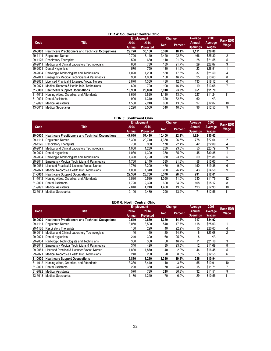| <b>EDR 4: Southwest Central Ohio</b> |                                                           |        |                   |            |         |                 |              |                 |  |
|--------------------------------------|-----------------------------------------------------------|--------|-------------------|------------|---------|-----------------|--------------|-----------------|--|
|                                      |                                                           |        | <b>Employment</b> |            | Change  | Average         | 2006         | <b>Rank EDR</b> |  |
| Code                                 | <b>Title</b>                                              | 2004   | 2014              |            | Percent | Annual          | Average      |                 |  |
|                                      |                                                           | Annual | <b>Projected</b>  | <b>Net</b> |         | <b>Openings</b> | <b>Wages</b> | Wage            |  |
| 29-0000                              | <b>Healthcare Practitioners and Technical Occupations</b> | 29,770 | 35,160            | 5,390      | 18.1%   | 1,111           | \$29.80      |                 |  |
| 29-1111                              | <b>Registered Nurses</b>                                  | 10,720 | 13,140            | 2,420      | 22.6%   | 466             | \$25.30      | 2               |  |
| 29-1126                              | <b>Respiratory Therapists</b>                             | 520    | 630               | 110        | 21.2%   | 28              | \$21.55      | 5               |  |
| 29-2011                              | Medical and Clinical Laboratory Technologists             | 600    | 730               | 130        | 21.7%   | 29              | \$22.87      | 3               |  |
| 29-2021                              | Dental Hygienists                                         | 570    | 750               | 180        | 31.6%   | 23              | \$28.91      |                 |  |
| 29-2034                              | Radiologic Technologists and Technicians                  | 1,020  | 1,200             | 180        | 17.6%   | 37              | \$21.59      | 4               |  |
| 29-2041                              | Emergency Medical Technicians & Paramedics                | 900    | 1,050             | 150        | 16.7%   | 25              | \$13.63      | 8               |  |
| 29-2061                              | Licensed Practical & Licensed Vocat, Nurses               | 3,870  | 4,350             | 480        | 12.4%   | 133             | \$18.12      | 6               |  |
| 29-2071                              | Medical Records & Health Info. Technicians                | 620    | 720               | 100        | 16.1%   | 19              | \$13.68      |                 |  |
| 31-0000                              | <b>Healthcare Support Occupations</b>                     | 16,980 | 20.890            | 3,910      | 23.0%   | 651             | \$11.70      |                 |  |
| 31-1012                              | Nursing Aides, Orderlies, and Attendants                  | 8,690  | 9,820             | 1,130      | 13.0%   | 227             | \$11.24      | 11              |  |
| 31-9091                              | Dental Assistants                                         | 990    | 1,310             | 320        | 32.3%   | 60              | <b>NA</b>    |                 |  |
| 31-9092                              | <b>Medical Assistants</b>                                 | 560, ا | 2,240             | 680        | 43.6%   | 97              | \$12.07      | 10              |  |
| 43-6013                              | <b>Medical Secretaries</b>                                | 3,220  | 3.560             | 340        | 10.6%   | 96              | \$12.53      | 9               |  |

|         | <b>EDR 5: Southwest Ohio</b>                              |        |                   |            |                |                 |              |                 |  |  |  |
|---------|-----------------------------------------------------------|--------|-------------------|------------|----------------|-----------------|--------------|-----------------|--|--|--|
|         |                                                           |        | <b>Employment</b> |            | Change         | Average         | 2006         | <b>Rank EDR</b> |  |  |  |
| Code    | <b>Title</b>                                              | 2004   | 2014              | <b>Net</b> | <b>Percent</b> | Annual          | Average      | Wage            |  |  |  |
|         |                                                           | Annual | Projected         |            |                | <b>Openings</b> | <b>Wages</b> |                 |  |  |  |
| 29-0000 | <b>Healthcare Practitioners and Technical Occupations</b> | 47,010 | 57,410            | 10,400     | 22.1%          | 1,924           | \$30.62      |                 |  |  |  |
| 29-1111 | <b>Registered Nurses</b>                                  | 16,390 | 20,740            | 4,350      | 26.5%          | 778             | \$27.64      | 2               |  |  |  |
| 29-1126 | <b>Respiratory Therapists</b>                             | 760    | 930               | 170        | 22.4%          | 42              | \$22.09      | 4               |  |  |  |
| 29-2011 | Medical and Clinical Laboratory Technologists             | 1,000  | 1,230             | 230        | 23.0%          | 50              | \$23.79      | 3               |  |  |  |
| 29-2021 | Dental Hygienists                                         | 1,030  | 1,390             | 360        | 35.0%          | 45              | \$30.85      |                 |  |  |  |
| 29-2034 | Radiologic Technologists and Technicians                  | 1,390  | 1,720             | 330        | 23.7%          | 59              | \$21.86      | 5               |  |  |  |
| 29-2041 | Emergency Medical Technicians & Paramedics                | 1,760  | 2,140             | 380        | 21.6%          | 58              | \$15.60      |                 |  |  |  |
| 29-2061 | Licensed Practical & Licensed Vocat. Nurses               | 4,730  | 5,200             | 470        | 9.9%           | 150             | \$19.38      | 6               |  |  |  |
| 29-2071 | Medical Records & Health Info. Technicians                | 1,060  | 1,340             | 280        | 26.4%          | 43              | \$14.58      | 9               |  |  |  |
| 31-0000 | <b>Healthcare Support Occupations</b>                     | 22,380 | 28,750            | 6,370      | 28.5%          | 991             | \$12.61      |                 |  |  |  |
| 31-1012 | Nursing Aides, Orderlies, and Attendants                  | 9,530  | 10,580            | 1,050      | 11.0%          | 230             | \$11.79      | 12              |  |  |  |
| 31-9091 | Dental Assistants                                         | 1.720  | 2,320             | 600        | 34.9%          | 108             | \$15.17      | 8               |  |  |  |
| 31-9092 | <b>Medical Assistants</b>                                 | 2,840  | 4,240             | 1,400      | 49.3%          | 193             | \$12.93      | 10              |  |  |  |
| 43-6013 | <b>Medical Secretaries</b>                                | 2,190  | 2,480             | 290        | 13.2%          | 71              | \$12.56      | 11              |  |  |  |

|         | <b>EDR 6: North Central Ohio</b>                          |                   |                          |            |                |                           |                         |                 |  |  |  |
|---------|-----------------------------------------------------------|-------------------|--------------------------|------------|----------------|---------------------------|-------------------------|-----------------|--|--|--|
|         | <b>Title</b>                                              | <b>Employment</b> |                          | Change     |                | Average                   | 2006                    | <b>Rank EDR</b> |  |  |  |
| Code    |                                                           | 2004<br>Annual    | 2014<br><b>Projected</b> | <b>Net</b> | <b>Percent</b> | Annual<br><b>Openings</b> | Average<br><b>Wages</b> | <b>Wage</b>     |  |  |  |
| 29-0000 | <b>Healthcare Practitioners and Technical Occupations</b> | 9,510             | 10,860                   | 1,350      | 14.2%          | 317                       | \$24.92                 |                 |  |  |  |
| 29-1111 | <b>Registered Nurses</b>                                  | 3,050             | 3,590                    | 540        | 17.7%          | 118                       | \$25.03                 |                 |  |  |  |
| 29-1126 | <b>Respiratory Therapists</b>                             | 180               | 220                      | 40         | 22.2%          | 10                        | \$20.63                 | 4               |  |  |  |
| 29-2011 | Medical and Clinical Laboratory Technologists             | 140               | 160                      | 20         | 14.3%          | 6                         | \$23.08                 | 2               |  |  |  |
| 29-2021 | Dental Hygienists                                         | 240               | 300                      | 60         | 25.0%          | 8                         | <b>NA</b>               |                 |  |  |  |
| 29-2034 | Radiologic Technologists and Technicians                  | 300               | 350                      | 50         | 16.7%          | 11                        | \$21.16                 | 3               |  |  |  |
| 29-2041 | Emergency Medical Technicians & Paramedics                | 340               | 420                      | 80         | 23.5%          | 12                        | \$11.69                 | 8               |  |  |  |
| 29-2061 | Licensed Practical & Licensed Vocat. Nurses               | 1.830             | 1,870                    | 40         | 2.2%           | 44                        | \$16.45                 | 5               |  |  |  |
| 29-2071 | Medical Records & Health Info. Technicians                | 240               | 260                      | 20         | 8.3%           | 5                         | \$12.55                 | 6               |  |  |  |
| 31-0000 | <b>Healthcare Support Occupations</b>                     | 6,880             | 8,210                    | 1,330      | 19.3%          | 236                       | \$10.94                 |                 |  |  |  |
| 31-1012 | Nursing Aides, Orderlies, and Attendants                  | 3,330             | 3,440                    | 110        | 3.3%           | 55                        | \$10.91                 | 10              |  |  |  |
| 31-9091 | Dental Assistants                                         | 290               | 360                      | 70         | 24.1%          | 15                        | \$11.71                 |                 |  |  |  |
| 31-9092 | <b>Medical Assistants</b>                                 | 570               | 780                      | 210        | 36.8%          | 32                        | \$11.51                 | 9               |  |  |  |
| 43-6013 | <b>Medical Secretaries</b>                                | 1,170             | 1,240                    | 70         | 6.0%           | 29                        | \$10.56                 | 11              |  |  |  |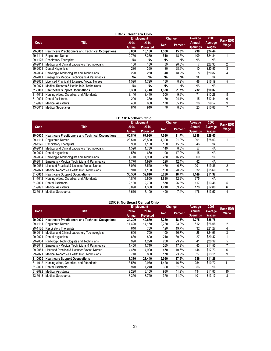| <b>EDR 7: Southern Ohio</b> |                                                           |                   |           |            |         |                 |           |                 |  |  |
|-----------------------------|-----------------------------------------------------------|-------------------|-----------|------------|---------|-----------------|-----------|-----------------|--|--|
|                             | <b>Title</b>                                              | <b>Employment</b> |           | Change     |         | Average         | 2006      | <b>Rank EDR</b> |  |  |
| Code                        |                                                           | 2004              | 2014      |            |         | Annual          | Average   |                 |  |  |
|                             |                                                           | Annual            | Projected | <b>Net</b> | Percent | <b>Openings</b> | Wages     | <b>Wage</b>     |  |  |
| 29-0000                     | <b>Healthcare Practitioners and Technical Occupations</b> | 8,850             | 10,180    | 1,330      | 15.0%   | 298             | \$24.44   |                 |  |  |
| 29-1111                     | <b>Registered Nurses</b>                                  | 2,760             | 3,270     | 510        | 18.5%   | 109             | \$24.84   |                 |  |  |
| 29-1126                     | <b>Respiratory Therapists</b>                             | <b>NA</b>         | <b>NA</b> | <b>NA</b>  | NA.     | <b>NA</b>       | <b>NA</b> |                 |  |  |
| 29-2011                     | Medical and Clinical Laboratory Technologists             | 150               | 180       | 30         | 20.0%   | 7               | \$22.33   | 2               |  |  |
| 29-2021                     | Dental Hygienists                                         | 280               | 360       | 80         | 28.6%   | 10              | \$20.97   | 3               |  |  |
| 29-2034                     | Radiologic Technologists and Technicians                  | 220               | 260       | 40         | 18.2%   | 8               | \$20.87   | 4               |  |  |
| 29-2041                     | Emergency Medical Technicians & Paramedics                | <b>NA</b>         | NA        | NA         | NA      | <b>NA</b>       | <b>NA</b> |                 |  |  |
| 29-2061                     | icensed Practical & Licensed Vocat, Nurses                | 1,590             | 1,720     | 130        | 8.2%    | 48              | \$16.19   | 5               |  |  |
| 29-2071                     | Medical Records & Health Info. Technicians                | <b>NA</b>         | <b>NA</b> | <b>NA</b>  | NA.     | <b>NA</b>       | <b>NA</b> |                 |  |  |
| 31-0000                     | <b>Healthcare Support Occupations</b>                     | 6,360             | 7,740     | 1,380      | 21.7%   | 232             | \$10.07   |                 |  |  |
| 31-1012                     | Nursing Aides, Orderlies, and Attendants                  | 3,140             | 3,440     | 300        | 9.6%    | 71              | \$10.28   | 8               |  |  |
| 31-9091                     | Dental Assistants                                         | 290               | 360       | 70         | 24.1%   | 15              | \$12.44   | 6               |  |  |
| 31-9092                     | <b>Medical Assistants</b>                                 | 480               | 650       | 170        | 35.4%   | 26              | \$9.57    | 9               |  |  |
| 43-6013                     | <b>Medical Secretaries</b>                                | 840               | 910       | 70         | 8.3%    | 23              | \$10.86   | 7               |  |  |

| <b>EDR 8: Northern Ohio</b> |                                                           |                   |           |            |                |                 |              |                 |  |  |
|-----------------------------|-----------------------------------------------------------|-------------------|-----------|------------|----------------|-----------------|--------------|-----------------|--|--|
|                             |                                                           | <b>Employment</b> |           | Change     |                | Average         | 2006         | <b>Rank EDR</b> |  |  |
| Code                        | <b>Title</b>                                              | 2004              | 2014      | <b>Net</b> | <b>Percent</b> | Annual          | Average      | Wage            |  |  |
|                             |                                                           | Annual            | Projected |            |                | <b>Openings</b> | <b>Wages</b> |                 |  |  |
| 29-0000                     | <b>Healthcare Practitioners and Technical Occupations</b> | 60,840            | 67,930    | 7,090      | 11.7%          | 1,888           | \$29.65      |                 |  |  |
| 29-1111                     | <b>Registered Nurses</b>                                  | 23,510            | 28,500    | 4,990      | 21.2%          | 991             | \$28.03      |                 |  |  |
| 29-1126                     | <b>Respiratory Therapists</b>                             | 950               | 1,100     | 150        | 15.8%          | 46              | NA.          |                 |  |  |
| 29-2011                     | Medical and Clinical Laboratory Technologists             | ,590              | 1.730     | 140        | 8.8%           | 57              | NA           |                 |  |  |
| 29-2021                     | Dental Hygienists                                         | 560               | 660       | 100        | 17.9%          | 15              | <b>NA</b>    |                 |  |  |
| 29-2034                     | Radiologic Technologists and Technicians                  | 1,710             | .990      | 280        | 16.4%          | 60              | <b>NA</b>    |                 |  |  |
| 29-2041                     | Emergency Medical Technicians & Paramedics                | 1,770             | 1,990     | 220        | 12.4%          | 42              | NA           |                 |  |  |
| 29-2061                     | Licensed Practical & Licensed Vocat, Nurses               | 7,050             | 7,520     | 470        | 6.7%           | 201             | \$19.36      | 2               |  |  |
| 29-2071                     | Medical Records & Health Info. Technicians                | 910               | 1,100     | 190        | 20.9%          | 32              | \$15.69      | 3               |  |  |
| 31-0000                     | <b>Healthcare Support Occupations</b>                     | 33,530            | 39,810    | 6,280      | 18.7%          | 1,149           | \$11.97      |                 |  |  |
| 31-1012                     | Nursing Aides, Orderlies, and Attendants                  | 14,840            | 16,650    | 1,810      | 12.2%          | 375             | <b>NA</b>    |                 |  |  |
| 31-9091                     | <b>Dental Assistants</b>                                  | 2,130             | 2,700     | 570        | 26.8%          | 117             | \$13.46      | 5               |  |  |
| 31-9092                     | <b>Medical Assistants</b>                                 | 3,090             | 4,300     | 1,210      | 39.2%          | 178             | \$12.06      | 6               |  |  |
| 43-6013                     | <b>Medical Secretaries</b>                                | 6,610             | 7,100     | 490        | 7.4%           | 176             | \$13.57      | 4               |  |  |

| <b>EDR 9: Northeast Central Ohio</b> |                                                           |                   |                   |               |                |                           |                         |                 |  |
|--------------------------------------|-----------------------------------------------------------|-------------------|-------------------|---------------|----------------|---------------------------|-------------------------|-----------------|--|
|                                      |                                                           | <b>Employment</b> |                   | <b>Change</b> |                | Average                   | 2006                    | <b>Rank EDR</b> |  |
| Code                                 | <b>Title</b>                                              | 2004<br>Annual    | 2014<br>Projected | <b>Net</b>    | <b>Percent</b> | Annual<br><b>Openings</b> | Average<br><b>Wages</b> | Wage            |  |
| 29-0000                              | <b>Healthcare Practitioners and Technical Occupations</b> | 34,390            | 40,670            | 6,280         | 18.3%          | 1,275                     | \$28.78                 |                 |  |
| 29-1111                              | <b>Registered Nurses</b>                                  | 11,420            | 14,150            | 2,730         | 23.9%          | 512                       | \$26.06                 | 2               |  |
| 29-1126                              | <b>Respiratory Therapists</b>                             | 610               | 730               | 120           | 19.7%          | 32                        | \$21.27                 | 4               |  |
| 29-2011                              | Medical and Clinical Laboratory Technologists             | 600               | 700               | 100           | 16.7%          | 26                        | \$24.93                 | 3               |  |
| 29-2021                              | Dental Hygienists                                         | 680               | 890               | 210           | 30.9%          | 27                        | \$29.47                 |                 |  |
| 29-2034                              | Radiologic Technologists and Technicians                  | 990               | 1,220             | 230           | 23.2%          | 41                        | \$20.32                 | 5               |  |
| 29-2041                              | <b>Emergency Medical Technicians &amp; Paramedics</b>     | 1,450             | 1.710             | 260           | 17.9%          | 43                        | \$14.55                 |                 |  |
| 29-2061                              | Licensed Practical & Licensed Vocat, Nurses               | 4,450             | 4,920             | 470           | 10.6%          | 144                       | \$17.73                 | 6               |  |
| 29-2071                              | Medical Records & Health Info. Technicians                | 710               | 880               | 170           | 23.9%          | 27                        | \$13.11                 | 9               |  |
| 31-0000                              | <b>Healthcare Support Occupations</b>                     | 18,380            | 23,440            | 5,060         | 27.5%          | 786                       | \$11.26                 |                 |  |
| 31-1012                              | Nursing Aides, Orderlies, and Attendants                  | 8,550             | 9,970             | 1,420         | 16.6%          | 254                       | \$10.72                 | 11              |  |
| 31-9091                              | Dental Assistants                                         | 940               | 1.240             | 300           | 31.9%          | 56                        | <b>NA</b>               |                 |  |
| 31-9092                              | <b>Medical Assistants</b>                                 | 2,220             | 3,150             | 930           | 41.9%          | 134                       | \$11.80                 | 10              |  |
| 43-6013                              | <b>Medical Secretaries</b>                                | 3,350             | 3.720             | 370           | 11.0%          | 101                       | \$13.17                 | 8               |  |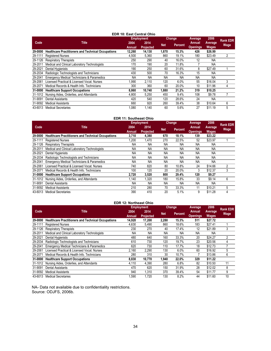| <b>EDR 10: East Central Ohio</b> |                                                           |                   |           |               |                |                 |                |                 |  |  |
|----------------------------------|-----------------------------------------------------------|-------------------|-----------|---------------|----------------|-----------------|----------------|-----------------|--|--|
|                                  | <b>Title</b>                                              | <b>Employment</b> |           | <b>Change</b> |                | Average         | 2006           | <b>Rank EDR</b> |  |  |
| Code                             |                                                           | 2004              | 2014      |               |                | Annual          | <b>Average</b> |                 |  |  |
|                                  |                                                           | Annual            | Projected | <b>Net</b>    | <b>Percent</b> | <b>Openings</b> | Wages          | <b>Wage</b>     |  |  |
| 29-0000                          | <b>Healthcare Practitioners and Technical Occupations</b> | 12,260            | 14,130    | 1,870         | 15.3%          | 426             | \$26.99        |                 |  |  |
| 29-1111                          | <b>Registered Nurses</b>                                  | 4,500             | 5,360     | 860           | 19.1%          | 180             | \$23.49        | $\overline{2}$  |  |  |
| 29-1126                          | <b>Respiratory Therapists</b>                             | 250               | 290       | 40            | 16.0%          | 12              | NA.            |                 |  |  |
| 29-2011                          | Medical and Clinical Laboratory Technologists             | 170               | 190       | 20            | 11.8%          |                 | <b>NA</b>      |                 |  |  |
| 29-2021                          | Dental Hygienists                                         | 190               | 250       | 60            | 31.6%          | 8               | \$27.49        |                 |  |  |
| 29-2034                          | Radiologic Technologists and Technicians                  | 430               | 500       | 70            | 16.3%          | 15              | NA.            |                 |  |  |
| 29-2041                          | Emergency Medical Technicians & Paramedics                | <b>NA</b>         | <b>NA</b> | <b>NA</b>     | NA.            | <b>NA</b>       | <b>NA</b>      |                 |  |  |
| 29-2061                          | icensed Practical & Licensed Vocat, Nurses                | 1,990             | 2,110     | 120           | 6.0%           | 55              | \$16.04        | 3               |  |  |
| 29-2071                          | Medical Records & Health Info. Technicians                | 300               | 360       | 60            | 20.0%          | 10              | \$11.96        | 4               |  |  |
| 31-0000                          | <b>Healthcare Support Occupations</b>                     | 8.860             | 10,740    | 1,880         | 21.2%          | 319             | \$10.25        |                 |  |  |
| 31-1012                          | Nursing Aides, Orderlies, and Attendants                  | 4,800             | 5,250     | 450           | 9.4%           | 108             | \$9.78         |                 |  |  |
| 31-9091                          | Dental Assistants                                         | 420               | 540       | 120           | 28.6%          | 24              | <b>NA</b>      |                 |  |  |
| 31-9092                          | <b>Medical Assistants</b>                                 | 660               | 920       | 260           | 39.4%          | 38              | \$10.64        | 6               |  |  |
| 43-6013                          | <b>Medical Secretaries</b>                                | 1,080             | 1,140     | 60            | 5.6%           | 27              | \$11.19        | 5               |  |  |

| <b>EDR 11: Southeast Ohio</b> |                                                           |                   |                          |            |           |                           |                                |                 |  |  |  |
|-------------------------------|-----------------------------------------------------------|-------------------|--------------------------|------------|-----------|---------------------------|--------------------------------|-----------------|--|--|--|
|                               |                                                           | <b>Employment</b> |                          | Change     |           | Average                   | 2006                           | <b>Rank EDR</b> |  |  |  |
| Code                          | <b>Title</b>                                              | 2004<br>Annual    | 2014<br><b>Projected</b> | <b>Net</b> | Percent   | Annual<br><b>Openings</b> | <b>Average</b><br><b>Wages</b> | Wage            |  |  |  |
| 29-0000                       | <b>Healthcare Practitioners and Technical Occupations</b> | 3,710             | 4,380                    | 670        | 18.1%     | 139                       | \$23.22                        |                 |  |  |  |
| 29-1111                       | <b>Registered Nurses</b>                                  | 1,200             | 1,470                    | 270        | 22.5%     | 52                        | \$23.97                        |                 |  |  |  |
| 29-1126                       | <b>Respiratory Therapists</b>                             | <b>NA</b>         | NA                       | <b>NA</b>  | NA        | <b>NA</b>                 | <b>NA</b>                      |                 |  |  |  |
| 29-2011                       | Medical and Clinical Laboratory Technologists             | <b>NA</b>         | NA                       | NA         | NA        | <b>NA</b>                 | <b>NA</b>                      |                 |  |  |  |
| 29-2021                       | Dental Hygienists                                         | <b>NA</b>         | <b>NA</b>                | <b>NA</b>  | <b>NA</b> | <b>NA</b>                 | <b>NA</b>                      |                 |  |  |  |
| 29-2034                       | Radiologic Technologists and Technicians                  | <b>NA</b>         | NA                       | <b>NA</b>  | NA        | <b>NA</b>                 | <b>NA</b>                      |                 |  |  |  |
| 29-2041                       | Emergency Medical Technicians & Paramedics                | <b>NA</b>         | <b>NA</b>                | <b>NA</b>  | <b>NA</b> | <b>NA</b>                 | <b>NA</b>                      |                 |  |  |  |
| 29-2061                       | Licensed Practical & Licensed Vocat, Nurses               | 740               | 820                      | 80         | 10.8%     | 24                        | \$14.66                        | 2               |  |  |  |
| 29-2071                       | Medical Records & Health Info. Technicians                | 100               | 120                      | 20         | 20.0%     | 3                         | \$12.37                        | 3               |  |  |  |
| 31-0000                       | <b>Healthcare Support Occupations</b>                     | 2,720             | 3,520                    | 800        | 29.4%     | 120                       | \$9.27                         |                 |  |  |  |
| 31-1012                       | Nursing Aides, Orderlies, and Attendants                  | 1,140             | 1,320                    | 180        | 15.8%     | 33                        | \$9.14                         | 6               |  |  |  |
| 31-9091                       | <b>Dental Assistants</b>                                  | <b>NA</b>         | <b>NA</b>                | <b>NA</b>  | NA.       | <b>NA</b>                 | NA.                            |                 |  |  |  |
| 31-9092                       | <b>Medical Assistants</b>                                 | 210               | 280                      | 70         | 33.3%     | 11                        | \$10.21                        | 5               |  |  |  |
| 43-6013                       | <b>Medical Secretaries</b>                                | 390               | 410                      | 20         | 5.1%      | 9                         | \$11.28                        | 4               |  |  |  |

#### **EDR 12: Northeast Ohio**

|         |                                                           |           | <b>Employment</b> |            | Change    | Average         | 2006         | <b>Rank EDR</b> |
|---------|-----------------------------------------------------------|-----------|-------------------|------------|-----------|-----------------|--------------|-----------------|
| Code    | Title                                                     | 2004      | 2014              | <b>Net</b> | Percent   | Annual          | Average      | Wage            |
|         |                                                           | Annual    | Projected         |            |           | <b>Openings</b> | <b>Wages</b> |                 |
| 29-0000 | <b>Healthcare Practitioners and Technical Occupations</b> | 14,920    | 17,200            | 2,280      | 15.3%     | 511             | \$27.72      |                 |
| 29-1111 | <b>Registered Nurses</b>                                  | 4,630     | 5,490             | 860        | 18.6%     | 183             | \$27.41      |                 |
| 29-1126 | <b>Respiratory Therapists</b>                             | 230       | 270               | 40         | 17.4%     | 12              | \$21.89      | 3               |
| 29-2011 | Medical and Clinical Laboratory Technologists             | <b>NA</b> | <b>NA</b>         | <b>NA</b>  | <b>NA</b> | <b>NA</b>       | NA           |                 |
| 29-2021 | Dental Hygienists                                         | 480       | 640               | 160        | 33.3%     | 20              | \$24.27      | 2               |
| 29-2034 | Radiologic Technologists and Technicians                  | 610       | 730               | 120        | 19.7%     | 23              | \$20.56      | 4               |
| 29-2041 | Emergency Medical Technicians & Paramedics                | 620       | 730               | 110        | 17.7%     | 18              | \$12.73      |                 |
| 29-2061 | Licensed Practical & Licensed Vocat, Nurses               | 2.160     | 2,290             | 130        | 6.0%      | 60              | \$16.92      | 5               |
| 29-2071 | Medical Records & Health Info. Technicians                | 280       | 310               | 30         | 10.7%     |                 | \$13.86      | 6               |
| 31-0000 | <b>Healthcare Support Occupations</b>                     | 8,830     | 10,770            | 1,940      | 22.0%     | 329             | \$11.22      |                 |
| 31-1012 | Nursing Aides, Orderlies, and Attendants                  | 4,110     | 4,390             | 280        | 6.8%      | 82              | \$10.50      | 11              |
| 31-9091 | <b>Dental Assistants</b>                                  | 470       | 620               | 150        | 31.9%     | 28              | \$12.02      | 8               |
| 31-9092 | <b>Medical Assistants</b>                                 | 940       | 1.310             | 370        | 39.4%     | 54              | \$11.77      | 9               |
| 43-6013 | <b>Medical Secretaries</b>                                | ,590      | 1,720             | 130        | 8.2%      | 44              | \$11.60      | 10              |

NA- Data not available due to confidentiality restrictions. Source: ODJFS, 2006b.